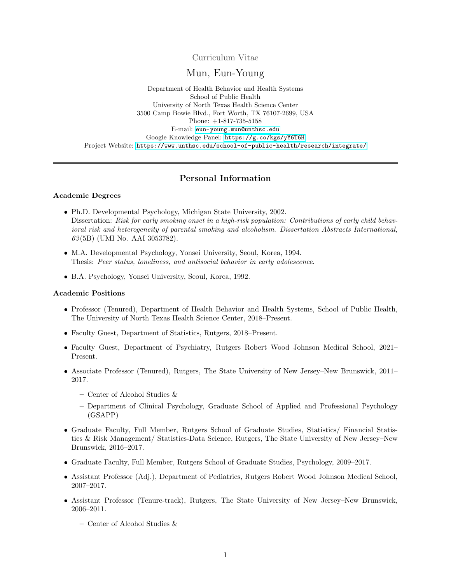Curriculum Vitae

# Mun, Eun-Young

Department of Health Behavior and Health Systems School of Public Health University of North Texas Health Science Center 3500 Camp Bowie Blvd., Fort Worth, TX 76107-2699, USA Phone: +1-817-735-5158 E-mail: <eun-young.mun@unthsc.edu> Google Knowledge Panel: <https://g.co/kgs/yY6T6H> Project Website: <https://www.unthsc.edu/school-of-public-health/research/integrate/>

# Personal Information

#### Academic Degrees

- Ph.D. Developmental Psychology, Michigan State University, 2002. Dissertation: Risk for early smoking onset in a high-risk population: Contributions of early child behavioral risk and heterogeneity of parental smoking and alcoholism. Dissertation Abstracts International, 63 (5B) (UMI No. AAI 3053782).
- M.A. Developmental Psychology, Yonsei University, Seoul, Korea, 1994. Thesis: Peer status, loneliness, and antisocial behavior in early adolescence.
- B.A. Psychology, Yonsei University, Seoul, Korea, 1992.

#### Academic Positions

- Professor (Tenured), Department of Health Behavior and Health Systems, School of Public Health, The University of North Texas Health Science Center, 2018–Present.
- Faculty Guest, Department of Statistics, Rutgers, 2018–Present.
- Faculty Guest, Department of Psychiatry, Rutgers Robert Wood Johnson Medical School, 2021– Present.
- Associate Professor (Tenured), Rutgers, The State University of New Jersey–New Brunswick, 2011– 2017.
	- Center of Alcohol Studies &
	- Department of Clinical Psychology, Graduate School of Applied and Professional Psychology (GSAPP)
- Graduate Faculty, Full Member, Rutgers School of Graduate Studies, Statistics/ Financial Statistics & Risk Management/ Statistics-Data Science, Rutgers, The State University of New Jersey–New Brunswick, 2016–2017.
- Graduate Faculty, Full Member, Rutgers School of Graduate Studies, Psychology, 2009–2017.
- Assistant Professor (Adj.), Department of Pediatrics, Rutgers Robert Wood Johnson Medical School, 2007–2017.
- Assistant Professor (Tenure-track), Rutgers, The State University of New Jersey–New Brunswick, 2006–2011.
	- Center of Alcohol Studies &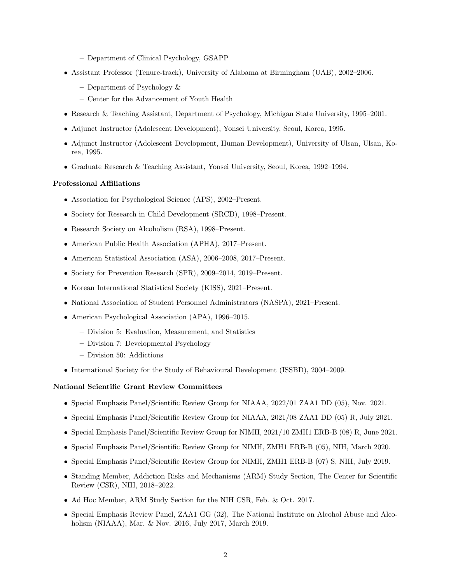- Department of Clinical Psychology, GSAPP
- Assistant Professor (Tenure-track), University of Alabama at Birmingham (UAB), 2002–2006.
	- Department of Psychology &
	- Center for the Advancement of Youth Health
- Research & Teaching Assistant, Department of Psychology, Michigan State University, 1995–2001.
- Adjunct Instructor (Adolescent Development), Yonsei University, Seoul, Korea, 1995.
- Adjunct Instructor (Adolescent Development, Human Development), University of Ulsan, Ulsan, Korea, 1995.
- Graduate Research & Teaching Assistant, Yonsei University, Seoul, Korea, 1992–1994.

#### Professional Affiliations

- Association for Psychological Science (APS), 2002–Present.
- Society for Research in Child Development (SRCD), 1998–Present.
- Research Society on Alcoholism (RSA), 1998–Present.
- American Public Health Association (APHA), 2017–Present.
- American Statistical Association (ASA), 2006–2008, 2017–Present.
- Society for Prevention Research (SPR), 2009–2014, 2019–Present.
- Korean International Statistical Society (KISS), 2021–Present.
- National Association of Student Personnel Administrators (NASPA), 2021–Present.
- American Psychological Association (APA), 1996–2015.
	- Division 5: Evaluation, Measurement, and Statistics
	- Division 7: Developmental Psychology
	- Division 50: Addictions
- International Society for the Study of Behavioural Development (ISSBD), 2004–2009.

#### National Scientific Grant Review Committees

- Special Emphasis Panel/Scientific Review Group for NIAAA, 2022/01 ZAA1 DD (05), Nov. 2021.
- Special Emphasis Panel/Scientific Review Group for NIAAA, 2021/08 ZAA1 DD (05) R, July 2021.
- Special Emphasis Panel/Scientific Review Group for NIMH, 2021/10 ZMH1 ERB-B (08) R, June 2021.
- Special Emphasis Panel/Scientific Review Group for NIMH, ZMH1 ERB-B (05), NIH, March 2020.
- Special Emphasis Panel/Scientific Review Group for NIMH, ZMH1 ERB-B (07) S, NIH, July 2019.
- Standing Member, Addiction Risks and Mechanisms (ARM) Study Section, The Center for Scientific Review (CSR), NIH, 2018–2022.
- Ad Hoc Member, ARM Study Section for the NIH CSR, Feb. & Oct. 2017.
- Special Emphasis Review Panel, ZAA1 GG (32), The National Institute on Alcohol Abuse and Alcoholism (NIAAA), Mar. & Nov. 2016, July 2017, March 2019.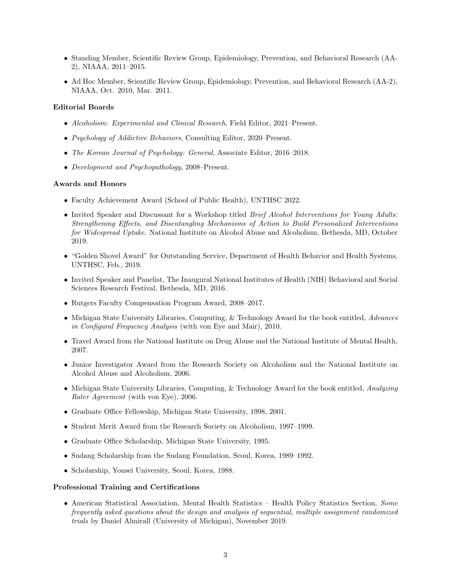- Standing Member, Scientific Review Group, Epidemiology, Prevention, and Behavioral Research (AA-2), NIAAA, 2011–2015.
- Ad Hoc Member, Scientific Review Group, Epidemiology, Prevention, and Behavioral Research (AA-2), NIAAA, Oct. 2010, Mar. 2011.

## Editorial Boards

- Alcoholism: Experimental and Clinical Research, Field Editor, 2021–Present.
- Psychology of Addictive Behaviors, Consulting Editor, 2020–Present.
- The Korean Journal of Psychology: General, Associate Editor, 2016–2018.
- Development and Psychopathology, 2008–Present.

## Awards and Honors

- Faculty Achievement Award (School of Public Health), UNTHSC 2022.
- Invited Speaker and Discussant for a Workshop titled *Brief Alcohol Interventions for Young Adults:* Strengthening Effects, and Disentangling Mechanisms of Action to Build Personalized Interventions for Widespread Uptake. National Institute on Alcohol Abuse and Alcoholism, Bethesda, MD, October 2019.
- "Golden Shovel Award" for Outstanding Service, Department of Health Behavior and Health Systems, UNTHSC, Feb., 2019.
- Invited Speaker and Panelist, The Inaugural National Institutes of Health (NIH) Behavioral and Social Sciences Research Festival, Bethesda, MD, 2016.
- Rutgers Faculty Compensation Program Award, 2008–2017.
- Michigan State University Libraries, Computing, & Technology Award for the book entitled, Advances in Configural Frequency Analysis (with von Eye and Mair), 2010.
- Travel Award from the National Institute on Drug Abuse and the National Institute of Mental Health, 2007.
- Junior Investigator Award from the Research Society on Alcoholism and the National Institute on Alcohol Abuse and Alcoholism, 2006.
- Michigan State University Libraries, Computing, & Technology Award for the book entitled, Analyzing Rater Agreement (with von Eye), 2006.
- Graduate Office Fellowship, Michigan State University, 1998, 2001.
- Student Merit Award from the Research Society on Alcoholism, 1997–1999.
- Graduate Office Scholarship, Michigan State University, 1995.
- Sudang Scholarship from the Sudang Foundation, Seoul, Korea, 1989–1992.
- Scholarship, Yonsei University, Seoul, Korea, 1988.

#### Professional Training and Certifications

• American Statistical Association, Mental Health Statistics – Health Policy Statistics Section, Some frequently asked questions about the design and analysis of sequential, multiple assignment randomized trials by Daniel Almirall (University of Michigan), November 2019.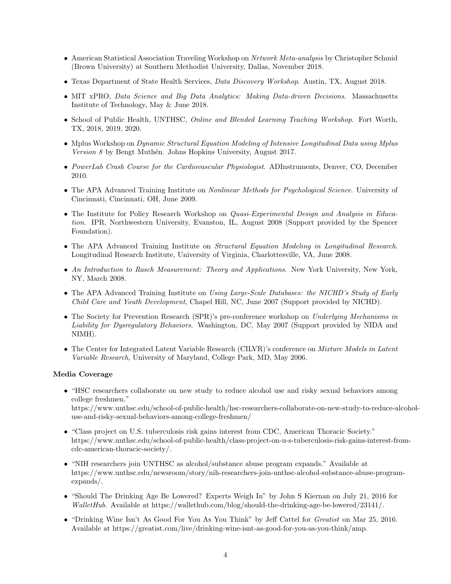- American Statistical Association Traveling Workshop on Network Meta-analysis by Christopher Schmid (Brown University) at Southern Methodist University, Dallas, November 2018.
- Texas Department of State Health Services, Data Discovery Workshop. Austin, TX, August 2018.
- MIT xPRO, Data Science and Big Data Analytics: Making Data-driven Decisions. Massachusetts Institute of Technology, May & June 2018.
- School of Public Health, UNTHSC, Online and Blended Learning Teaching Workshop. Fort Worth, TX, 2018, 2019, 2020.
- Mplus Workshop on *Dynamic Structural Equation Modeling of Intensive Longitudinal Data using Mplus*  $Version 8$  by Bengt Muthén. Johns Hopkins University, August 2017.
- PowerLab Crash Course for the Cardiovascular Physiologist. ADInstruments, Denver, CO, December 2010.
- The APA Advanced Training Institute on *Nonlinear Methods for Psychological Science*. University of Cincinnati, Cincinnati, OH, June 2009.
- The Institute for Policy Research Workshop on *Quasi-Experimental Design and Analysis in Educa*tion. IPR, Northwestern University, Evanston, IL, August 2008 (Support provided by the Spencer Foundation).
- The APA Advanced Training Institute on Structural Equation Modeling in Longitudinal Research. Longitudinal Research Institute, University of Virginia, Charlottesville, VA, June 2008.
- An Introduction to Rasch Measurement: Theory and Applications. New York University, New York, NY, March 2008.
- The APA Advanced Training Institute on Using Large-Scale Databases: the NICHD's Study of Early Child Care and Youth Development, Chapel Hill, NC, June 2007 (Support provided by NICHD).
- The Society for Prevention Research (SPR)'s pre-conference workshop on Underlying Mechanisms in Liability for Dysregulatory Behaviors. Washington, DC, May 2007 (Support provided by NIDA and NIMH).
- The Center for Integrated Latent Variable Research (CILVR)'s conference on *Mixture Models in Latent* Variable Research, University of Maryland, College Park, MD, May 2006.

#### Media Coverage

- "HSC researchers collaborate on new study to reduce alcohol use and risky sexual behaviors among college freshmen." https://www.unthsc.edu/school-of-public-health/hsc-researchers-collaborate-on-new-study-to-reduce-alcoholuse-and-risky-sexual-behaviors-among-college-freshmen/
- "Class project on U.S. tuberculosis risk gains interest from CDC, American Thoracic Society." https://www.unthsc.edu/school-of-public-health/class-project-on-u-s-tuberculosis-risk-gains-interest-fromcdc-american-thoracic-society/.
- "NIH researchers join UNTHSC as alcohol/substance abuse program expands." Available at https://www.unthsc.edu/newsroom/story/nih-researchers-join-unthsc-alcohol-substance-abuse-programexpands/.
- "Should The Drinking Age Be Lowered? Experts Weigh In" by John S Kiernan on July 21, 2016 for WalletHub. Available at https://wallethub.com/blog/should-the-drinking-age-be-lowered/23141/.
- "Drinking Wine Isn't As Good For You As You Think" by Jeff Cattel for Greatist on Mar 25, 2016. Available at https://greatist.com/live/drinking-wine-isnt-as-good-for-you-as-you-think/amp.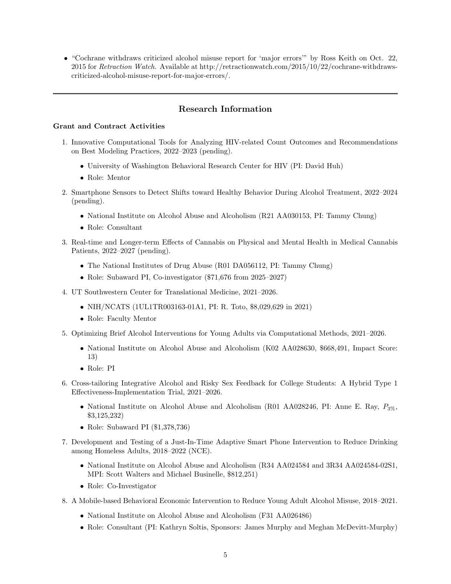• "Cochrane withdraws criticized alcohol misuse report for 'major errors'" by Ross Keith on Oct. 22, 2015 for Retraction Watch. Available at http://retractionwatch.com/2015/10/22/cochrane-withdrawscriticized-alcohol-misuse-report-for-major-errors/.

## Research Information

## Grant and Contract Activities

- 1. Innovative Computational Tools for Analyzing HIV-related Count Outcomes and Recommendations on Best Modeling Practices, 2022–2023 (pending).
	- University of Washington Behavioral Research Center for HIV (PI: David Huh)
	- Role: Mentor
- 2. Smartphone Sensors to Detect Shifts toward Healthy Behavior During Alcohol Treatment, 2022–2024 (pending).
	- National Institute on Alcohol Abuse and Alcoholism (R21 AA030153, PI: Tammy Chung)
	- Role: Consultant
- 3. Real-time and Longer-term Effects of Cannabis on Physical and Mental Health in Medical Cannabis Patients, 2022–2027 (pending).
	- The National Institutes of Drug Abuse (R01 DA056112, PI: Tammy Chung)
	- Role: Subaward PI, Co-investigator (\$71,676 from 2025–2027)
- 4. UT Southwestern Center for Translational Medicine, 2021–2026.
	- NIH/NCATS (1UL1TR003163-01A1, PI: R. Toto, \$8,029,629 in 2021)
	- Role: Faculty Mentor
- 5. Optimizing Brief Alcohol Interventions for Young Adults via Computational Methods, 2021–2026.
	- National Institute on Alcohol Abuse and Alcoholism (K02 AA028630, \$668,491, Impact Score: 13)
	- Role: PI
- 6. Cross-tailoring Integrative Alcohol and Risky Sex Feedback for College Students: A Hybrid Type 1 Effectiveness-Implementation Trial, 2021–2026.
	- National Institute on Alcohol Abuse and Alcoholism (R01 AA028246, PI: Anne E. Ray,  $P_{3\%}$ , \$3,125,232)
	- Role: Subaward PI (\$1,378,736)
- 7. Development and Testing of a Just-In-Time Adaptive Smart Phone Intervention to Reduce Drinking among Homeless Adults, 2018–2022 (NCE).
	- National Institute on Alcohol Abuse and Alcoholism (R34 AA024584 and 3R34 AA024584-02S1, MPI: Scott Walters and Michael Businelle, \$812,251)
	- Role: Co-Investigator
- 8. A Mobile-based Behavioral Economic Intervention to Reduce Young Adult Alcohol Misuse, 2018–2021.
	- National Institute on Alcohol Abuse and Alcoholism (F31 AA026486)
	- Role: Consultant (PI: Kathryn Soltis, Sponsors: James Murphy and Meghan McDevitt-Murphy)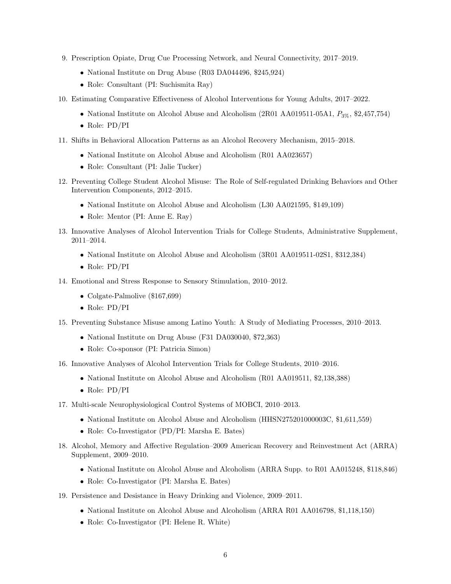- 9. Prescription Opiate, Drug Cue Processing Network, and Neural Connectivity, 2017–2019.
	- National Institute on Drug Abuse (R03 DA044496, \$245,924)
	- Role: Consultant (PI: Suchismita Ray)
- 10. Estimating Comparative Effectiveness of Alcohol Interventions for Young Adults, 2017–2022.
	- National Institute on Alcohol Abuse and Alcoholism (2R01 AA019511-05A1,  $P_{3\%}$ , \$2,457,754)
	- Role: PD/PI
- 11. Shifts in Behavioral Allocation Patterns as an Alcohol Recovery Mechanism, 2015–2018.
	- National Institute on Alcohol Abuse and Alcoholism (R01 AA023657)
	- Role: Consultant (PI: Jalie Tucker)
- 12. Preventing College Student Alcohol Misuse: The Role of Self-regulated Drinking Behaviors and Other Intervention Components, 2012–2015.
	- National Institute on Alcohol Abuse and Alcoholism (L30 AA021595, \$149,109)
	- Role: Mentor (PI: Anne E. Ray)
- 13. Innovative Analyses of Alcohol Intervention Trials for College Students, Administrative Supplement, 2011–2014.
	- National Institute on Alcohol Abuse and Alcoholism (3R01 AA019511-02S1, \$312,384)
	- Role: PD/PI
- 14. Emotional and Stress Response to Sensory Stimulation, 2010–2012.
	- Colgate-Palmolive (\$167,699)
	- Role: PD/PI
- 15. Preventing Substance Misuse among Latino Youth: A Study of Mediating Processes, 2010–2013.
	- National Institute on Drug Abuse (F31 DA030040, \$72,363)
	- Role: Co-sponsor (PI: Patricia Simon)
- 16. Innovative Analyses of Alcohol Intervention Trials for College Students, 2010–2016.
	- National Institute on Alcohol Abuse and Alcoholism (R01 AA019511, \$2,138,388)
	- Role: PD/PI
- 17. Multi-scale Neurophysiological Control Systems of MOBCI, 2010–2013.
	- National Institute on Alcohol Abuse and Alcoholism (HHSN275201000003C, \$1,611,559)
	- Role: Co-Investigator (PD/PI: Marsha E. Bates)
- 18. Alcohol, Memory and Affective Regulation–2009 American Recovery and Reinvestment Act (ARRA) Supplement, 2009–2010.
	- National Institute on Alcohol Abuse and Alcoholism (ARRA Supp. to R01 AA015248, \$118,846)
	- Role: Co-Investigator (PI: Marsha E. Bates)
- 19. Persistence and Desistance in Heavy Drinking and Violence, 2009–2011.
	- National Institute on Alcohol Abuse and Alcoholism (ARRA R01 AA016798, \$1,118,150)
	- Role: Co-Investigator (PI: Helene R. White)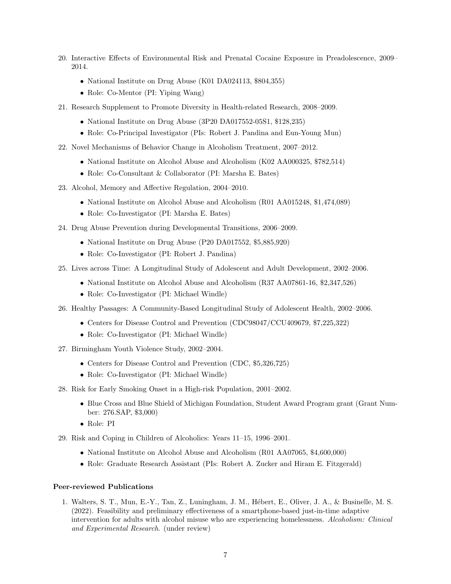- 20. Interactive Effects of Environmental Risk and Prenatal Cocaine Exposure in Preadolescence, 2009– 2014.
	- National Institute on Drug Abuse (K01 DA024113, \$804,355)
	- Role: Co-Mentor (PI: Yiping Wang)
- 21. Research Supplement to Promote Diversity in Health-related Research, 2008–2009.
	- National Institute on Drug Abuse (3P20 DA017552-05S1, \$128,235)
	- Role: Co-Principal Investigator (PIs: Robert J. Pandina and Eun-Young Mun)
- 22. Novel Mechanisms of Behavior Change in Alcoholism Treatment, 2007–2012.
	- National Institute on Alcohol Abuse and Alcoholism (K02 AA000325, \$782,514)
	- Role: Co-Consultant & Collaborator (PI: Marsha E. Bates)
- 23. Alcohol, Memory and Affective Regulation, 2004–2010.
	- National Institute on Alcohol Abuse and Alcoholism (R01 AA015248, \$1,474,089)
	- Role: Co-Investigator (PI: Marsha E. Bates)
- 24. Drug Abuse Prevention during Developmental Transitions, 2006–2009.
	- National Institute on Drug Abuse (P20 DA017552, \$5,885,920)
	- Role: Co-Investigator (PI: Robert J. Pandina)
- 25. Lives across Time: A Longitudinal Study of Adolescent and Adult Development, 2002–2006.
	- National Institute on Alcohol Abuse and Alcoholism (R37 AA07861-16, \$2,347,526)
	- Role: Co-Investigator (PI: Michael Windle)
- 26. Healthy Passages: A Community-Based Longitudinal Study of Adolescent Health, 2002–2006.
	- Centers for Disease Control and Prevention (CDC98047/CCU409679, \$7,225,322)
	- Role: Co-Investigator (PI: Michael Windle)
- 27. Birmingham Youth Violence Study, 2002–2004.
	- Centers for Disease Control and Prevention (CDC, \$5,326,725)
	- Role: Co-Investigator (PI: Michael Windle)
- 28. Risk for Early Smoking Onset in a High-risk Population, 2001–2002.
	- Blue Cross and Blue Shield of Michigan Foundation, Student Award Program grant (Grant Number: 276.SAP, \$3,000)
	- Role: PI
- 29. Risk and Coping in Children of Alcoholics: Years 11–15, 1996–2001.
	- National Institute on Alcohol Abuse and Alcoholism (R01 AA07065, \$4,600,000)
	- Role: Graduate Research Assistant (PIs: Robert A. Zucker and Hiram E. Fitzgerald)

#### Peer-reviewed Publications

1. Walters, S. T., Mun, E.-Y., Tan, Z., Luningham, J. M., H´ebert, E., Oliver, J. A., & Businelle, M. S. (2022). Feasibility and preliminary effectiveness of a smartphone-based just-in-time adaptive intervention for adults with alcohol misuse who are experiencing homelessness. Alcoholism: Clinical and Experimental Research. (under review)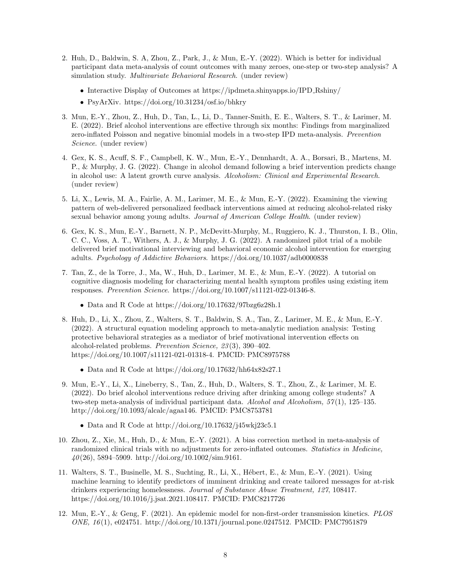- 2. Huh, D., Baldwin, S. A, Zhou, Z., Park, J., & Mun, E.-Y. (2022). Which is better for individual participant data meta-analysis of count outcomes with many zeroes, one-step or two-step analysis? A simulation study. Multivariate Behavioral Research. (under review)
	- Interactive Display of Outcomes at https://ipdmeta.shinyapps.io/IPD Rshiny/
	- PsyArXiv. https://doi.org/10.31234/osf.io/bhkry
- 3. Mun, E.-Y., Zhou, Z., Huh, D., Tan, L., Li, D., Tanner-Smith, E. E., Walters, S. T., & Larimer, M. E. (2022). Brief alcohol interventions are effective through six months: Findings from marginalized zero-inflated Poisson and negative binomial models in a two-step IPD meta-analysis. Prevention Science. (under review)
- 4. Gex, K. S., Acuff, S. F., Campbell, K. W., Mun, E.-Y., Dennhardt, A. A., Borsari, B., Martens, M. P., & Murphy, J. G. (2022). Change in alcohol demand following a brief intervention predicts change in alcohol use: A latent growth curve analysis. Alcoholism: Clinical and Experimental Research. (under review)
- 5. Li, X., Lewis, M. A., Fairlie, A. M., Larimer, M. E., & Mun, E.-Y. (2022). Examining the viewing pattern of web-delivered personalized feedback interventions aimed at reducing alcohol-related risky sexual behavior among young adults. Journal of American College Health. (under review)
- 6. Gex, K. S., Mun, E.-Y., Barnett, N. P., McDevitt-Murphy, M., Ruggiero, K. J., Thurston, I. B., Olin, C. C., Voss, A. T., Withers, A. J., & Murphy, J. G. (2022). A randomized pilot trial of a mobile delivered brief motivational interviewing and behavioral economic alcohol intervention for emerging adults. Psychology of Addictive Behaviors. https://doi.org/10.1037/adb0000838
- 7. Tan, Z., de la Torre, J., Ma, W., Huh, D., Larimer, M. E., & Mun, E.-Y. (2022). A tutorial on cognitive diagnosis modeling for characterizing mental health symptom profiles using existing item responses. Prevention Science. https://doi.org/10.1007/s11121-022-01346-8.
	- Data and R Code at https://doi.org/10.17632/97bzg6z28h.1
- 8. Huh, D., Li, X., Zhou, Z., Walters, S. T., Baldwin, S. A., Tan, Z., Larimer, M. E., & Mun, E.-Y. (2022). A structural equation modeling approach to meta-analytic mediation analysis: Testing protective behavioral strategies as a mediator of brief motivational intervention effects on alcohol-related problems. Prevention Science, 23 (3), 390–402. https://doi.org/10.1007/s11121-021-01318-4. PMCID: PMC8975788
	- Data and R Code at https://doi.org/10.17632/hh64x82s27.1
- 9. Mun, E.-Y., Li, X., Lineberry, S., Tan, Z., Huh, D., Walters, S. T., Zhou, Z., & Larimer, M. E. (2022). Do brief alcohol interventions reduce driving after drinking among college students? A two-step meta-analysis of individual participant data. Alcohol and Alcoholism, 57(1), 125–135. http://doi.org/10.1093/alcalc/agaa146. PMCID: PMC8753781
	- Data and R Code at http://doi.org/10.17632/j45wkj23c5.1
- 10. Zhou, Z., Xie, M., Huh, D., & Mun, E.-Y. (2021). A bias correction method in meta-analysis of randomized clinical trials with no adjustments for zero-inflated outcomes. Statistics in Medicine,  $40(26)$ , 5894–5909. http://doi.org/10.1002/sim.9161.
- 11. Walters, S. T., Businelle, M. S., Suchting, R., Li, X., H´ebert, E., & Mun, E.-Y. (2021). Using machine learning to identify predictors of imminent drinking and create tailored messages for at-risk drinkers experiencing homelessness. Journal of Substance Abuse Treatment, 127, 108417. https://doi.org/10.1016/j.jsat.2021.108417. PMCID: PMC8217726
- 12. Mun, E.-Y., & Geng, F. (2021). An epidemic model for non-first-order transmission kinetics. PLOS ONE, 16 (1), e024751. http://doi.org/10.1371/journal.pone.0247512. PMCID: PMC7951879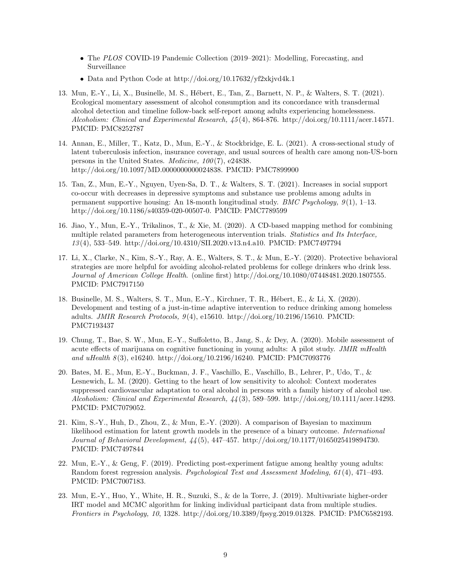- The PLOS COVID-19 Pandemic Collection (2019–2021): Modelling, Forecasting, and Surveillance
- Data and Python Code at http://doi.org/10.17632/yf2xkjvd4k.1
- 13. Mun, E.-Y., Li, X., Businelle, M. S., Hébert, E., Tan, Z., Barnett, N. P., & Walters, S. T. (2021). Ecological momentary assessment of alcohol consumption and its concordance with transdermal alcohol detection and timeline follow-back self-report among adults experiencing homelessness. Alcoholism: Clinical and Experimental Research, 45 (4), 864-876. http://doi.org/10.1111/acer.14571. PMCID: PMC8252787
- 14. Annan, E., Miller, T., Katz, D., Mun, E.-Y., & Stockbridge, E. L. (2021). A cross-sectional study of latent tuberculosis infection, insurance coverage, and usual sources of health care among non-US-born persons in the United States. Medicine, 100 (7), e24838. http://doi.org/10.1097/MD.0000000000024838. PMCID: PMC7899900
- 15. Tan, Z., Mun, E.-Y., Nguyen, Uyen-Sa, D. T., & Walters, S. T. (2021). Increases in social support co-occur with decreases in depressive symptoms and substance use problems among adults in permanent supportive housing: An 18-month longitudinal study. *BMC Psychology*,  $9(1)$ , 1–13. http://doi.org/10.1186/s40359-020-00507-0. PMCID: PMC7789599
- 16. Jiao, Y., Mun, E.-Y., Trikalinos, T., & Xie, M. (2020). A CD-based mapping method for combining multiple related parameters from heterogeneous intervention trials. Statistics and Its Interface, 13 (4), 533–549. http://doi.org/10.4310/SII.2020.v13.n4.a10. PMCID: PMC7497794
- 17. Li, X., Clarke, N., Kim, S.-Y., Ray, A. E., Walters, S. T., & Mun, E.-Y. (2020). Protective behavioral strategies are more helpful for avoiding alcohol-related problems for college drinkers who drink less. Journal of American College Health. (online first) http://doi.org/10.1080/07448481.2020.1807555. PMCID: PMC7917150
- 18. Businelle, M. S., Walters, S. T., Mun, E.-Y., Kirchner, T. R., H´ebert, E., & Li, X. (2020). Development and testing of a just-in-time adaptive intervention to reduce drinking among homeless adults. JMIR Research Protocols,  $9(4)$ , e15610. http://doi.org/10.2196/15610. PMCID: PMC7193437
- 19. Chung, T., Bae, S. W., Mun, E.-Y., Suffoletto, B., Jang, S., & Dey, A. (2020). Mobile assessment of acute effects of marijuana on cognitive functioning in young adults: A pilot study. *JMIR mHealth* and uHealth  $8(3)$ , e16240. http://doi.org/10.2196/16240. PMCID: PMC7093776
- 20. Bates, M. E., Mun, E.-Y., Buckman, J. F., Vaschillo, E., Vaschillo, B., Lehrer, P., Udo, T., & Lesnewich, L. M. (2020). Getting to the heart of low sensitivity to alcohol: Context moderates suppressed cardiovascular adaptation to oral alcohol in persons with a family history of alcohol use. Alcoholism: Clinical and Experimental Research, 44 (3), 589–599. http://doi.org/10.1111/acer.14293. PMCID: PMC7079052.
- 21. Kim, S.-Y., Huh, D., Zhou, Z., & Mun, E.-Y. (2020). A comparison of Bayesian to maximum likelihood estimation for latent growth models in the presence of a binary outcome. International Journal of Behavioral Development, 44 (5), 447–457. http://doi.org/10.1177/0165025419894730. PMCID: PMC7497844
- 22. Mun, E.-Y., & Geng, F. (2019). Predicting post-experiment fatigue among healthy young adults: Random forest regression analysis. Psychological Test and Assessment Modeling, 61 (4), 471–493. PMCID: PMC7007183.
- 23. Mun, E.-Y., Huo, Y., White, H. R., Suzuki, S., & de la Torre, J. (2019). Multivariate higher-order IRT model and MCMC algorithm for linking individual participant data from multiple studies. Frontiers in Psychology, 10, 1328. http://doi.org/10.3389/fpsyg.2019.01328. PMCID: PMC6582193.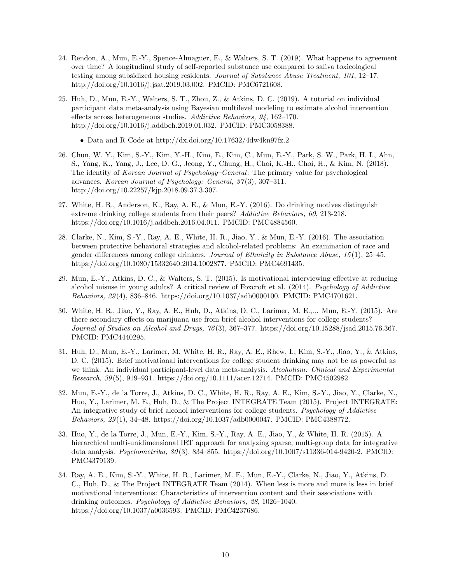- 24. Rendon, A., Mun, E.-Y., Spence-Almaguer, E., & Walters, S. T. (2019). What happens to agreement over time? A longitudinal study of self-reported substance use compared to saliva toxicological testing among subsidized housing residents. Journal of Substance Abuse Treatment, 101, 12–17. http://doi.org/10.1016/j.jsat.2019.03.002. PMCID: PMC6721608.
- 25. Huh, D., Mun, E.-Y., Walters, S. T., Zhou, Z., & Atkins, D. C. (2019). A tutorial on individual participant data meta-analysis using Bayesian multilevel modeling to estimate alcohol intervention effects across heterogeneous studies. Addictive Behaviors, 94, 162–170. http://doi.org/10.1016/j.addbeh.2019.01.032. PMCID: PMC3058388.
	- Data and R Code at http://dx.doi.org/10.17632/4dw4kn97fz.2
- 26. Chun, W. Y., Kim, S.-Y., Kim, Y.-H., Kim, E., Kim, C., Mun, E.-Y., Park, S. W., Park, H. I., Ahn, S., Yang, K., Yang, J., Lee, D. G., Jeong, Y., Chung, H., Choi, K.-H., Choi, H., & Kim, N. (2018). The identity of Korean Journal of Psychology–General: The primary value for psychological advances. Korean Journal of Psychology: General, 37(3), 307-311. http://doi.org/10.22257/kjp.2018.09.37.3.307.
- 27. White, H. R., Anderson, K., Ray, A. E., & Mun, E.-Y. (2016). Do drinking motives distinguish extreme drinking college students from their peers? Addictive Behaviors, 60, 213-218. https://doi.org/10.1016/j.addbeh.2016.04.011. PMCID: PMC4884560.
- 28. Clarke, N., Kim, S.-Y., Ray, A. E., White, H. R., Jiao, Y., & Mun, E.-Y. (2016). The association between protective behavioral strategies and alcohol-related problems: An examination of race and gender differences among college drinkers. Journal of Ethnicity in Substance Abuse, 15 (1), 25–45. https://doi.org/10.1080/15332640.2014.1002877. PMCID: PMC4691435.
- 29. Mun, E.-Y., Atkins, D. C., & Walters, S. T. (2015). Is motivational interviewing effective at reducing alcohol misuse in young adults? A critical review of Foxcroft et al. (2014). Psychology of Addictive Behaviors, 29 (4), 836–846. https://doi.org/10.1037/adb0000100. PMCID: PMC4701621.
- 30. White, H. R., Jiao, Y., Ray, A. E., Huh, D., Atkins, D. C., Larimer, M. E.,... Mun, E.-Y. (2015). Are there secondary effects on marijuana use from brief alcohol interventions for college students? Journal of Studies on Alcohol and Drugs, 76 (3), 367–377. https://doi.org/10.15288/jsad.2015.76.367. PMCID: PMC4440295.
- 31. Huh, D., Mun, E.-Y., Larimer, M. White, H. R., Ray, A. E., Rhew, I., Kim, S.-Y., Jiao, Y., & Atkins, D. C. (2015). Brief motivational interventions for college student drinking may not be as powerful as we think: An individual participant-level data meta-analysis. Alcoholism: Clinical and Experimental Research, 39 (5), 919–931. https://doi.org/10.1111/acer.12714. PMCID: PMC4502982.
- 32. Mun, E.-Y., de la Torre, J., Atkins, D. C., White, H. R., Ray, A. E., Kim, S.-Y., Jiao, Y., Clarke, N., Huo, Y., Larimer, M. E., Huh, D., & The Project INTEGRATE Team (2015). Project INTEGRATE: An integrative study of brief alcohol interventions for college students. Psychology of Addictive Behaviors, 29 (1), 34–48. https://doi.org/10.1037/adb0000047. PMCID: PMC4388772.
- 33. Huo, Y., de la Torre, J., Mun, E.-Y., Kim, S.-Y., Ray, A. E., Jiao, Y., & White, H. R. (2015). A hierarchical multi-unidimensional IRT approach for analyzing sparse, multi-group data for integrative data analysis. Psychometrika, 80 (3), 834–855. https://doi.org/10.1007/s11336-014-9420-2. PMCID: PMC4379139.
- 34. Ray, A. E., Kim, S.-Y., White, H. R., Larimer, M. E., Mun, E.-Y., Clarke, N., Jiao, Y., Atkins, D. C., Huh, D., & The Project INTEGRATE Team (2014). When less is more and more is less in brief motivational interventions: Characteristics of intervention content and their associations with drinking outcomes. Psychology of Addictive Behaviors, 28, 1026–1040. https://doi.org/10.1037/a0036593. PMCID: PMC4237686.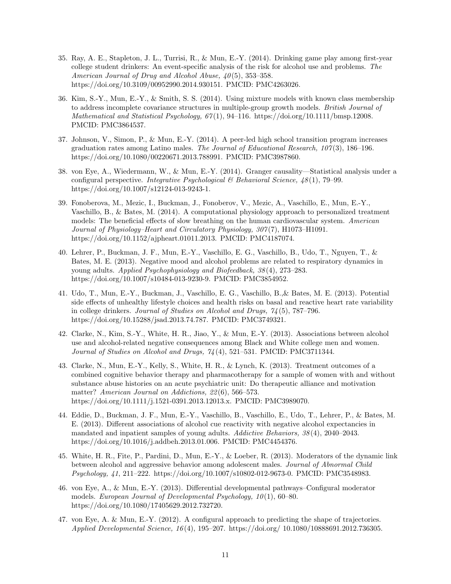- 35. Ray, A. E., Stapleton, J. L., Turrisi, R., & Mun, E.-Y. (2014). Drinking game play among first-year college student drinkers: An event-specific analysis of the risk for alcohol use and problems. The American Journal of Drug and Alcohol Abuse, 40(5), 353–358. https://doi.org/10.3109/00952990.2014.930151. PMCID: PMC4263026.
- 36. Kim, S.-Y., Mun, E.-Y., & Smith, S. S. (2014). Using mixture models with known class membership to address incomplete covariance structures in multiple-group growth models. British Journal of Mathematical and Statistical Psychology,  $67(1)$ , 94–116. https://doi.org/10.1111/bmsp.12008. PMCID: PMC3864537.
- 37. Johnson, V., Simon, P., & Mun, E.-Y. (2014). A peer-led high school transition program increases graduation rates among Latino males. The Journal of Educational Research,  $107(3)$ , 186–196. https://doi.org/10.1080/00220671.2013.788991. PMCID: PMC3987860.
- 38. von Eye, A., Wiedermann, W., & Mun, E.-Y. (2014). Granger causality—Statistical analysis under a configural perspective. Integrative Psychological & Behavioral Science, 48 (1), 79–99. https://doi.org/10.1007/s12124-013-9243-1.
- 39. Fonoberova, M., Mezic, I., Buckman, J., Fonoberov, V., Mezic, A., Vaschillo, E., Mun, E.-Y., Vaschillo, B., & Bates, M. (2014). A computational physiology approach to personalized treatment models: The beneficial effects of slow breathing on the human cardiovascular system. American Journal of Physiology–Heart and Circulatory Physiology, 307 (7), H1073–H1091. https://doi.org/10.1152/ajpheart.01011.2013. PMCID: PMC4187074.
- 40. Lehrer, P., Buckman, J. F., Mun, E.-Y., Vaschillo, E. G., Vaschillo, B., Udo, T., Nguyen, T., & Bates, M. E. (2013). Negative mood and alcohol problems are related to respiratory dynamics in young adults. Applied Psychophysiology and Biofeedback, 38 (4), 273–283. https://doi.org/10.1007/s10484-013-9230-9. PMCID: PMC3854952.
- 41. Udo, T., Mun, E.-Y., Buckman, J., Vaschillo, E. G., Vaschillo, B.,& Bates, M. E. (2013). Potential side effects of unhealthy lifestyle choices and health risks on basal and reactive heart rate variability in college drinkers. Journal of Studies on Alcohol and Drugs, 74 (5), 787–796. https://doi.org/10.15288/jsad.2013.74.787. PMCID: PMC3749321.
- 42. Clarke, N., Kim, S.-Y., White, H. R., Jiao, Y., & Mun, E.-Y. (2013). Associations between alcohol use and alcohol-related negative consequences among Black and White college men and women. Journal of Studies on Alcohol and Drugs, 74 (4), 521–531. PMCID: PMC3711344.
- 43. Clarke, N., Mun, E.-Y., Kelly, S., White, H. R., & Lynch, K. (2013). Treatment outcomes of a combined cognitive behavior therapy and pharmacotherapy for a sample of women with and without substance abuse histories on an acute psychiatric unit: Do therapeutic alliance and motivation matter? American Journal on Addictions, 22(6), 566–573. https://doi.org/10.1111/j.1521-0391.2013.12013.x. PMCID: PMC3989070.
- 44. Eddie, D., Buckman, J. F., Mun, E.-Y., Vaschillo, B., Vaschillo, E., Udo, T., Lehrer, P., & Bates, M. E. (2013). Different associations of alcohol cue reactivity with negative alcohol expectancies in mandated and inpatient samples of young adults. Addictive Behaviors, 38 (4), 2040–2043. https://doi.org/10.1016/j.addbeh.2013.01.006. PMCID: PMC4454376.
- 45. White, H. R., Fite, P., Pardini, D., Mun, E.-Y., & Loeber, R. (2013). Moderators of the dynamic link between alcohol and aggressive behavior among adolescent males. Journal of Abnormal Child Psychology, 41, 211–222. https://doi.org/10.1007/s10802-012-9673-0. PMCID: PMC3548983.
- 46. von Eye, A., & Mun, E.-Y. (2013). Differential developmental pathways–Configural moderator models. European Journal of Developmental Psychology,  $10(1)$ , 60–80. https://doi.org/10.1080/17405629.2012.732720.
- 47. von Eye, A. & Mun, E.-Y. (2012). A configural approach to predicting the shape of trajectories. Applied Developmental Science, 16 (4), 195–207. https://doi.org/ 10.1080/10888691.2012.736305.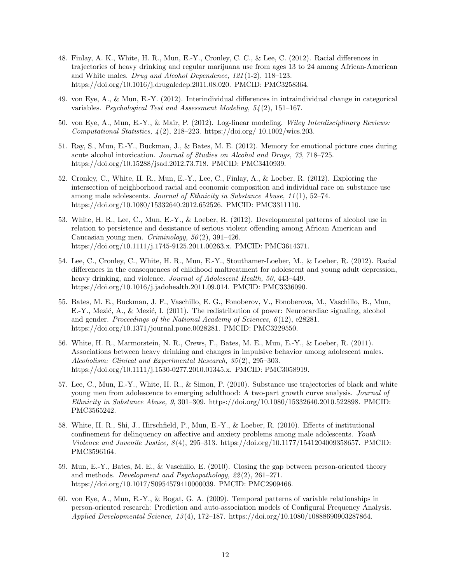- 48. Finlay, A. K., White, H. R., Mun, E.-Y., Cronley, C. C., & Lee, C. (2012). Racial differences in trajectories of heavy drinking and regular marijuana use from ages 13 to 24 among African-American and White males. Drug and Alcohol Dependence, 121 (1-2), 118–123. https://doi.org/10.1016/j.drugalcdep.2011.08.020. PMCID: PMC3258364.
- 49. von Eye, A., & Mun, E.-Y. (2012). Interindividual differences in intraindividual change in categorical variables. Psychological Test and Assessment Modeling, 54 (2), 151–167.
- 50. von Eye, A., Mun, E.-Y., & Mair, P. (2012). Log-linear modeling. Wiley Interdisciplinary Reviews: Computational Statistics, 4 (2), 218–223. https://doi.org/ 10.1002/wics.203.
- 51. Ray, S., Mun, E.-Y., Buckman, J., & Bates, M. E. (2012). Memory for emotional picture cues during acute alcohol intoxication. Journal of Studies on Alcohol and Drugs, 73, 718–725. https://doi.org/10.15288/jsad.2012.73.718. PMCID: PMC3410939.
- 52. Cronley, C., White, H. R., Mun, E.-Y., Lee, C., Finlay, A., & Loeber, R. (2012). Exploring the intersection of neighborhood racial and economic composition and individual race on substance use among male adolescents. Journal of Ethnicity in Substance Abuse, 11 (1), 52–74. https://doi.org/10.1080/15332640.2012.652526. PMCID: PMC3311110.
- 53. White, H. R., Lee, C., Mun, E.-Y., & Loeber, R. (2012). Developmental patterns of alcohol use in relation to persistence and desistance of serious violent offending among African American and Caucasian young men. *Criminology*,  $50(2)$ , 391–426. https://doi.org/10.1111/j.1745-9125.2011.00263.x. PMCID: PMC3614371.
- 54. Lee, C., Cronley, C., White, H. R., Mun, E.-Y., Stouthamer-Loeber, M., & Loeber, R. (2012). Racial differences in the consequences of childhood maltreatment for adolescent and young adult depression, heavy drinking, and violence. *Journal of Adolescent Health*, 50, 443–449. https://doi.org/10.1016/j.jadohealth.2011.09.014. PMCID: PMC3336090.
- 55. Bates, M. E., Buckman, J. F., Vaschillo, E. G., Fonoberov, V., Fonoberova, M., Vaschillo, B., Mun, E.-Y., Mezić, A., & Mezić, I. (2011). The redistribution of power: Neurocardiac signaling, alcohol and gender. Proceedings of the National Academy of Sciences,  $6(12)$ , e28281. https://doi.org/10.1371/journal.pone.0028281. PMCID: PMC3229550.
- 56. White, H. R., Marmorstein, N. R., Crews, F., Bates, M. E., Mun, E.-Y., & Loeber, R. (2011). Associations between heavy drinking and changes in impulsive behavior among adolescent males. Alcoholism: Clinical and Experimental Research, 35 (2), 295–303. https://doi.org/10.1111/j.1530-0277.2010.01345.x. PMCID: PMC3058919.
- 57. Lee, C., Mun, E.-Y., White, H. R., & Simon, P. (2010). Substance use trajectories of black and white young men from adolescence to emerging adulthood: A two-part growth curve analysis. Journal of Ethnicity in Substance Abuse, 9, 301–309. https://doi.org/10.1080/15332640.2010.522898. PMCID: PMC3565242.
- 58. White, H. R., Shi, J., Hirschfield, P., Mun, E.-Y., & Loeber, R. (2010). Effects of institutional confinement for delinquency on affective and anxiety problems among male adolescents. Youth Violence and Juvenile Justice, 8 (4), 295–313. https://doi.org/10.1177/1541204009358657. PMCID: PMC3596164.
- 59. Mun, E.-Y., Bates, M. E., & Vaschillo, E. (2010). Closing the gap between person-oriented theory and methods. Development and Psychopathology, 22 (2), 261–271. https://doi.org/10.1017/S0954579410000039. PMCID: PMC2909466.
- 60. von Eye, A., Mun, E.-Y., & Bogat, G. A. (2009). Temporal patterns of variable relationships in person-oriented research: Prediction and auto-association models of Configural Frequency Analysis. Applied Developmental Science, 13 (4), 172–187. https://doi.org/10.1080/10888690903287864.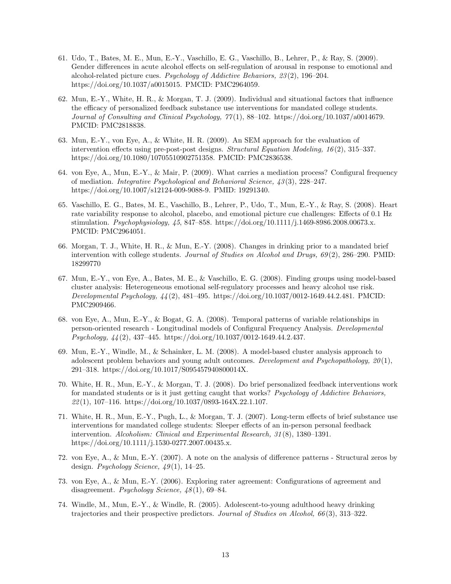- 61. Udo, T., Bates, M. E., Mun, E.-Y., Vaschillo, E. G., Vaschillo, B., Lehrer, P., & Ray, S. (2009). Gender differences in acute alcohol effects on self-regulation of arousal in response to emotional and alcohol-related picture cues. Psychology of Addictive Behaviors, 23 (2), 196–204. https://doi.org/10.1037/a0015015. PMCID: PMC2964059.
- 62. Mun, E.-Y., White, H. R., & Morgan, T. J. (2009). Individual and situational factors that influence the efficacy of personalized feedback substance use interventions for mandated college students. Journal of Consulting and Clinical Psychology, 77 (1), 88–102. https://doi.org/10.1037/a0014679. PMCID: PMC2818838.
- 63. Mun, E.-Y., von Eye, A., & White, H. R. (2009). An SEM approach for the evaluation of intervention effects using pre-post-post designs. Structural Equation Modeling, 16 (2), 315–337. https://doi.org/10.1080/10705510902751358. PMCID: PMC2836538.
- 64. von Eye, A., Mun, E.-Y., & Mair, P. (2009). What carries a mediation process? Configural frequency of mediation. Integrative Psychological and Behavioral Science, 43 (3), 228–247. https://doi.org/10.1007/s12124-009-9088-9. PMID: 19291340.
- 65. Vaschillo, E. G., Bates, M. E., Vaschillo, B., Lehrer, P., Udo, T., Mun, E.-Y., & Ray, S. (2008). Heart rate variability response to alcohol, placebo, and emotional picture cue challenges: Effects of 0.1 Hz stimulation. Psychophysiology, 45, 847–858. https://doi.org/10.1111/j.1469-8986.2008.00673.x. PMCID: PMC2964051.
- 66. Morgan, T. J., White, H. R., & Mun, E.-Y. (2008). Changes in drinking prior to a mandated brief intervention with college students. Journal of Studies on Alcohol and Drugs, 69(2), 286–290. PMID: 18299770
- 67. Mun, E.-Y., von Eye, A., Bates, M. E., & Vaschillo, E. G. (2008). Finding groups using model-based cluster analysis: Heterogeneous emotional self-regulatory processes and heavy alcohol use risk. Developmental Psychology, 44 (2), 481–495. https://doi.org/10.1037/0012-1649.44.2.481. PMCID: PMC2909466.
- 68. von Eye, A., Mun, E.-Y., & Bogat, G. A. (2008). Temporal patterns of variable relationships in person-oriented research - Longitudinal models of Configural Frequency Analysis. Developmental Psychology, 44 (2), 437–445. https://doi.org/10.1037/0012-1649.44.2.437.
- 69. Mun, E.-Y., Windle, M., & Schainker, L. M. (2008). A model-based cluster analysis approach to adolescent problem behaviors and young adult outcomes. Development and Psychopathology,  $20(1)$ , 291–318. https://doi.org/10.1017/S095457940800014X.
- 70. White, H. R., Mun, E.-Y., & Morgan, T. J. (2008). Do brief personalized feedback interventions work for mandated students or is it just getting caught that works? Psychology of Addictive Behaviors, 22 (1), 107–116. https://doi.org/10.1037/0893-164X.22.1.107.
- 71. White, H. R., Mun, E.-Y., Pugh, L., & Morgan, T. J. (2007). Long-term effects of brief substance use interventions for mandated college students: Sleeper effects of an in-person personal feedback intervention. Alcoholism: Clinical and Experimental Research, 31 (8), 1380–1391. https://doi.org/10.1111/j.1530-0277.2007.00435.x.
- 72. von Eye, A., & Mun, E.-Y. (2007). A note on the analysis of difference patterns Structural zeros by design. Psychology Science,  $49(1)$ , 14–25.
- 73. von Eye, A., & Mun, E.-Y. (2006). Exploring rater agreement: Configurations of agreement and disagreement. *Psychology Science*,  $48(1)$ , 69–84.
- 74. Windle, M., Mun, E.-Y., & Windle, R. (2005). Adolescent-to-young adulthood heavy drinking trajectories and their prospective predictors. Journal of Studies on Alcohol, 66 (3), 313–322.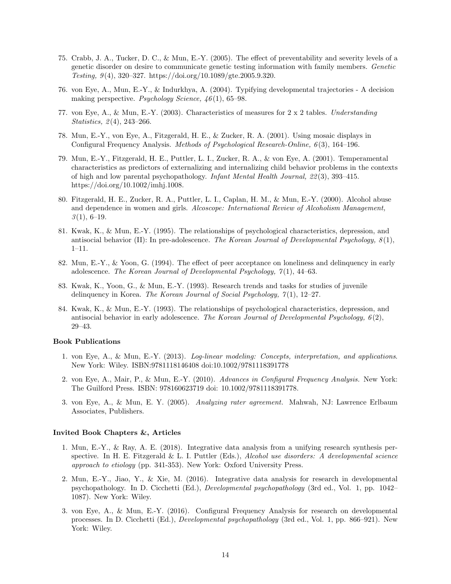- 75. Crabb, J. A., Tucker, D. C., & Mun, E.-Y. (2005). The effect of preventability and severity levels of a genetic disorder on desire to communicate genetic testing information with family members. Genetic Testing, 9 (4), 320–327. https://doi.org/10.1089/gte.2005.9.320.
- 76. von Eye, A., Mun, E.-Y., & Indurkhya, A. (2004). Typifying developmental trajectories A decision making perspective. Psychology Science,  $46(1)$ , 65–98.
- 77. von Eye, A., & Mun, E.-Y. (2003). Characteristics of measures for 2 x 2 tables. Understanding *Statistics*,  $2(4)$ ,  $243-266$ .
- 78. Mun, E.-Y., von Eye, A., Fitzgerald, H. E., & Zucker, R. A. (2001). Using mosaic displays in Configural Frequency Analysis. Methods of Psychological Research-Online, 6(3), 164–196.
- 79. Mun, E.-Y., Fitzgerald, H. E., Puttler, L. I., Zucker, R. A., & von Eye, A. (2001). Temperamental characteristics as predictors of externalizing and internalizing child behavior problems in the contexts of high and low parental psychopathology. Infant Mental Health Journal, 22 (3), 393–415. https://doi.org/10.1002/imhj.1008.
- 80. Fitzgerald, H. E., Zucker, R. A., Puttler, L. I., Caplan, H. M., & Mun, E.-Y. (2000). Alcohol abuse and dependence in women and girls. Alcoscope: International Review of Alcoholism Management,  $3(1), 6-19.$
- 81. Kwak, K., & Mun, E.-Y. (1995). The relationships of psychological characteristics, depression, and antisocial behavior (II): In pre-adolescence. The Korean Journal of Developmental Psychology,  $8(1)$ , 1–11.
- 82. Mun, E.-Y., & Yoon, G. (1994). The effect of peer acceptance on loneliness and delinquency in early adolescence. The Korean Journal of Developmental Psychology,  $7(1)$ , 44–63.
- 83. Kwak, K., Yoon, G., & Mun, E.-Y. (1993). Research trends and tasks for studies of juvenile delinquency in Korea. The Korean Journal of Social Psychology,  $7(1)$ , 12–27.
- 84. Kwak, K., & Mun, E.-Y. (1993). The relationships of psychological characteristics, depression, and antisocial behavior in early adolescence. The Korean Journal of Developmental Psychology,  $6(2)$ , 29–43.

#### Book Publications

- 1. von Eye, A., & Mun, E.-Y. (2013). Log-linear modeling: Concepts, interpretation, and applications. New York: Wiley. ISBN:9781118146408 doi:10.1002/9781118391778
- 2. von Eye, A., Mair, P., & Mun, E.-Y. (2010). Advances in Configural Frequency Analysis. New York: The Guilford Press. ISBN: 978160623719 doi: 10.1002/9781118391778.
- 3. von Eye, A., & Mun, E. Y. (2005). Analyzing rater agreement. Mahwah, NJ: Lawrence Erlbaum Associates, Publishers.

#### Invited Book Chapters &, Articles

- 1. Mun, E.-Y., & Ray, A. E. (2018). Integrative data analysis from a unifying research synthesis perspective. In H. E. Fitzgerald & L. I. Puttler (Eds.), Alcohol use disorders: A developmental science approach to etiology (pp. 341-353). New York: Oxford University Press.
- 2. Mun, E.-Y., Jiao, Y., & Xie, M. (2016). Integrative data analysis for research in developmental psychopathology. In D. Cicchetti (Ed.), Developmental psychopathology (3rd ed., Vol. 1, pp. 1042– 1087). New York: Wiley.
- 3. von Eye, A., & Mun, E.-Y. (2016). Configural Frequency Analysis for research on developmental processes. In D. Cicchetti (Ed.), Developmental psychopathology (3rd ed., Vol. 1, pp. 866–921). New York: Wiley.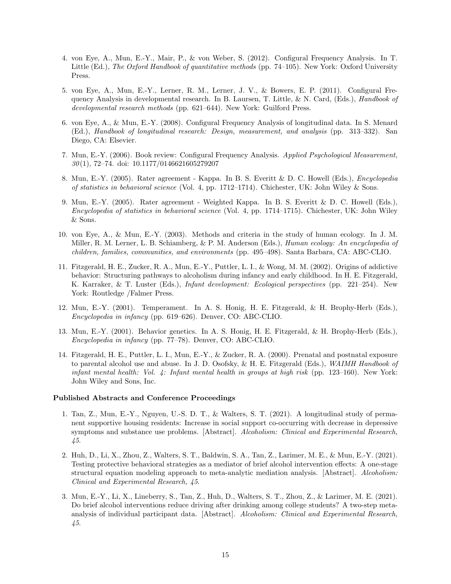- 4. von Eye, A., Mun, E.-Y., Mair, P., & von Weber, S. (2012). Configural Frequency Analysis. In T. Little (Ed.), The Oxford Handbook of quantitative methods (pp. 74–105). New York: Oxford University Press.
- 5. von Eye, A., Mun, E.-Y., Lerner, R. M., Lerner, J. V., & Bowers, E. P. (2011). Configural Frequency Analysis in developmental research. In B. Laursen, T. Little, & N. Card, (Eds.), *Handbook of* developmental research methods (pp. 621–644). New York: Guilford Press.
- 6. von Eye, A., & Mun, E.-Y. (2008). Configural Frequency Analysis of longitudinal data. In S. Menard (Ed.), Handbook of longitudinal research: Design, measurement, and analysis (pp. 313–332). San Diego, CA: Elsevier.
- 7. Mun, E.-Y. (2006). Book review: Configural Frequency Analysis. Applied Psychological Measurement,  $30(1)$ , 72–74. doi: 10.1177/0146621605279207
- 8. Mun, E.-Y. (2005). Rater agreement Kappa. In B. S. Everitt & D. C. Howell (Eds.), Encyclopedia of statistics in behavioral science (Vol. 4, pp. 1712–1714). Chichester, UK: John Wiley & Sons.
- 9. Mun, E.-Y. (2005). Rater agreement Weighted Kappa. In B. S. Everitt & D. C. Howell (Eds.), Encyclopedia of statistics in behavioral science (Vol. 4, pp. 1714–1715). Chichester, UK: John Wiley & Sons.
- 10. von Eye, A., & Mun, E.-Y. (2003). Methods and criteria in the study of human ecology. In J. M. Miller, R. M. Lerner, L. B. Schiamberg, & P. M. Anderson (Eds.), Human ecology: An encyclopedia of children, families, communities, and environments (pp. 495–498). Santa Barbara, CA: ABC-CLIO.
- 11. Fitzgerald, H. E., Zucker, R. A., Mun, E.-Y., Puttler, L. I., & Wong, M. M. (2002). Origins of addictive behavior: Structuring pathways to alcoholism during infancy and early childhood. In H. E. Fitzgerald, K. Karraker, & T. Luster (Eds.), Infant development: Ecological perspectives (pp. 221–254). New York: Routledge /Falmer Press.
- 12. Mun, E.-Y. (2001). Temperament. In A. S. Honig, H. E. Fitzgerald, & H. Brophy-Herb (Eds.), Encyclopedia in infancy (pp. 619–626). Denver, CO: ABC-CLIO.
- 13. Mun, E.-Y. (2001). Behavior genetics. In A. S. Honig, H. E. Fitzgerald, & H. Brophy-Herb (Eds.), Encyclopedia in infancy (pp. 77–78). Denver, CO: ABC-CLIO.
- 14. Fitzgerald, H. E., Puttler, L. I., Mun, E.-Y., & Zucker, R. A. (2000). Prenatal and postnatal exposure to parental alcohol use and abuse. In J. D. Osofsky, & H. E. Fitzgerald (Eds.), WAIMH Handbook of infant mental health: Vol. 4: Infant mental health in groups at high risk (pp. 123–160). New York: John Wiley and Sons, Inc.

#### Published Abstracts and Conference Proceedings

- 1. Tan, Z., Mun, E.-Y., Nguyen, U.-S. D. T., & Walters, S. T. (2021). A longitudinal study of permanent supportive housing residents: Increase in social support co-occurring with decrease in depressive symptoms and substance use problems. [Abstract]. Alcoholism: Clinical and Experimental Research, 45.
- 2. Huh, D., Li, X., Zhou, Z., Walters, S. T., Baldwin, S. A., Tan, Z., Larimer, M. E., & Mun, E.-Y. (2021). Testing protective behavioral strategies as a mediator of brief alcohol intervention effects: A one-stage structural equation modeling approach to meta-analytic mediation analysis. [Abstract]. Alcoholism: Clinical and Experimental Research, 45.
- 3. Mun, E.-Y., Li, X., Lineberry, S., Tan, Z., Huh, D., Walters, S. T., Zhou, Z., & Larimer, M. E. (2021). Do brief alcohol interventions reduce driving after drinking among college students? A two-step metaanalysis of individual participant data. [Abstract]. Alcoholism: Clinical and Experimental Research, 45.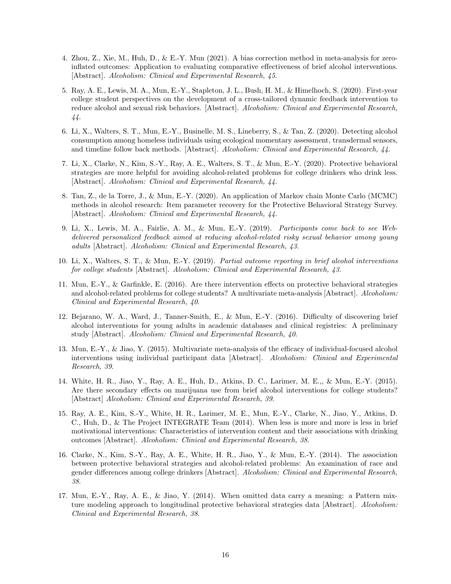- 4. Zhou, Z., Xie, M., Huh, D., & E.-Y. Mun (2021). A bias correction method in meta-analysis for zeroinflated outcomes: Application to evaluating comparative effectiveness of brief alcohol interventions. [Abstract]. Alcoholism: Clinical and Experimental Research, 45.
- 5. Ray, A. E., Lewis, M. A., Mun, E.-Y., Stapleton, J. L., Bush, H. M., & Himelhoch, S. (2020). First-year college student perspectives on the development of a cross-tailored dynamic feedback intervention to reduce alcohol and sexual risk behaviors. [Abstract]. Alcoholism: Clinical and Experimental Research, 44.
- 6. Li, X., Walters, S. T., Mun, E.-Y., Businelle, M. S., Lineberry, S., & Tan, Z. (2020). Detecting alcohol consumption among homeless individuals using ecological momentary assessment, transdermal sensors, and timeline follow back methods. [Abstract]. Alcoholism: Clinical and Experimental Research, 44.
- 7. Li, X., Clarke, N., Kim, S.-Y., Ray, A. E., Walters, S. T., & Mun, E.-Y. (2020). Protective behavioral strategies are more helpful for avoiding alcohol-related problems for college drinkers who drink less. [Abstract]. Alcoholism: Clinical and Experimental Research, 44.
- 8. Tan, Z., de la Torre, J., & Mun, E.-Y. (2020). An application of Markov chain Monte Carlo (MCMC) methods in alcohol research: Item parameter recovery for the Protective Behavioral Strategy Survey. [Abstract]. Alcoholism: Clinical and Experimental Research, 44.
- 9. Li, X., Lewis, M. A., Fairlie, A. M., & Mun, E.-Y. (2019). Participants come back to see Webdelivered personalized feedback aimed at reducing alcohol-related risky sexual behavior among young adults [Abstract]. Alcoholism: Clinical and Experimental Research, 43.
- 10. Li, X., Walters, S. T., & Mun, E.-Y. (2019). Partial outcome reporting in brief alcohol interventions for college students [Abstract]. Alcoholism: Clinical and Experimental Research, 43.
- 11. Mun, E.-Y., & Garfinkle, E. (2016). Are there intervention effects on protective behavioral strategies and alcohol-related problems for college students? A multivariate meta-analysis [Abstract]. Alcoholism: Clinical and Experimental Research, 40.
- 12. Bejarano, W. A., Ward, J., Tanner-Smith, E., & Mun, E.-Y. (2016). Difficulty of discovering brief alcohol interventions for young adults in academic databases and clinical registries: A preliminary study [Abstract]. Alcoholism: Clinical and Experimental Research, 40.
- 13. Mun, E.-Y., & Jiao, Y. (2015). Multivariate meta-analysis of the efficacy of individual-focused alcohol interventions using individual participant data [Abstract]. Alcoholism: Clinical and Experimental Research, 39.
- 14. White, H. R., Jiao, Y., Ray, A. E., Huh, D., Atkins, D. C., Larimer, M. E.,, & Mun, E.-Y. (2015). Are there secondary effects on marijuana use from brief alcohol interventions for college students? [Abstract] Alcoholism: Clinical and Experimental Research, 39.
- 15. Ray, A. E., Kim, S.-Y., White, H. R., Larimer, M. E., Mun, E.-Y., Clarke, N., Jiao, Y., Atkins, D. C., Huh, D., & The Project INTEGRATE Team (2014). When less is more and more is less in brief motivational interventions: Characteristics of intervention content and their associations with drinking outcomes [Abstract]. Alcoholism: Clinical and Experimental Research, 38.
- 16. Clarke, N., Kim, S.-Y., Ray, A. E., White, H. R., Jiao, Y., & Mun, E.-Y. (2014). The association between protective behavioral strategies and alcohol-related problems: An examination of race and gender differences among college drinkers [Abstract]. Alcoholism: Clinical and Experimental Research, 38.
- 17. Mun, E.-Y., Ray, A. E., & Jiao, Y. (2014). When omitted data carry a meaning: a Pattern mixture modeling approach to longitudinal protective behavioral strategies data [Abstract]. Alcoholism: Clinical and Experimental Research, 38.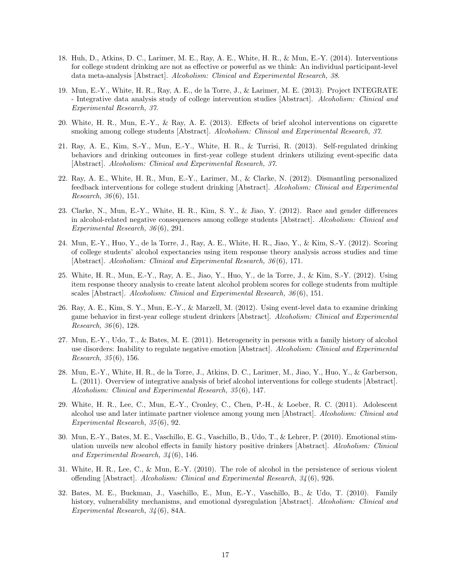- 18. Huh, D., Atkins, D. C., Larimer, M. E., Ray, A. E., White, H. R., & Mun, E.-Y. (2014). Interventions for college student drinking are not as effective or powerful as we think: An individual participant-level data meta-analysis [Abstract]. Alcoholism: Clinical and Experimental Research, 38.
- 19. Mun, E.-Y., White, H. R., Ray, A. E., de la Torre, J., & Larimer, M. E. (2013). Project INTEGRATE - Integrative data analysis study of college intervention studies [Abstract]. Alcoholism: Clinical and Experimental Research, 37.
- 20. White, H. R., Mun, E.-Y., & Ray, A. E. (2013). Effects of brief alcohol interventions on cigarette smoking among college students [Abstract]. Alcoholism: Clinical and Experimental Research, 37.
- 21. Ray, A. E., Kim, S.-Y., Mun, E.-Y., White, H. R., & Turrisi, R. (2013). Self-regulated drinking behaviors and drinking outcomes in first-year college student drinkers utilizing event-specific data [Abstract]. Alcoholism: Clinical and Experimental Research, 37.
- 22. Ray, A. E., White, H. R., Mun, E.-Y., Larimer, M., & Clarke, N. (2012). Dismantling personalized feedback interventions for college student drinking [Abstract]. Alcoholism: Clinical and Experimental Research, 36 (6), 151.
- 23. Clarke, N., Mun, E.-Y., White, H. R., Kim, S. Y., & Jiao, Y. (2012). Race and gender differences in alcohol-related negative consequences among college students [Abstract]. Alcoholism: Clinical and Experimental Research, 36 (6), 291.
- 24. Mun, E.-Y., Huo, Y., de la Torre, J., Ray, A. E., White, H. R., Jiao, Y., & Kim, S.-Y. (2012). Scoring of college students' alcohol expectancies using item response theory analysis across studies and time [Abstract]. Alcoholism: Clinical and Experimental Research, 36 (6), 171.
- 25. White, H. R., Mun, E.-Y., Ray, A. E., Jiao, Y., Huo, Y., de la Torre, J., & Kim, S.-Y. (2012). Using item response theory analysis to create latent alcohol problem scores for college students from multiple scales [Abstract]. Alcoholism: Clinical and Experimental Research, 36 (6), 151.
- 26. Ray, A. E., Kim, S. Y., Mun, E.-Y., & Marzell, M. (2012). Using event-level data to examine drinking game behavior in first-year college student drinkers [Abstract]. Alcoholism: Clinical and Experimental Research, 36 (6), 128.
- 27. Mun, E.-Y., Udo, T., & Bates, M. E. (2011). Heterogeneity in persons with a family history of alcohol use disorders: Inability to regulate negative emotion [Abstract]. Alcoholism: Clinical and Experimental Research, 35 (6), 156.
- 28. Mun, E.-Y., White, H. R., de la Torre, J., Atkins, D. C., Larimer, M., Jiao, Y., Huo, Y., & Garberson, L. (2011). Overview of integrative analysis of brief alcohol interventions for college students [Abstract]. Alcoholism: Clinical and Experimental Research, 35 (6), 147.
- 29. White, H. R., Lee, C., Mun, E.-Y., Cronley, C., Chen, P.-H., & Loeber, R. C. (2011). Adolescent alcohol use and later intimate partner violence among young men [Abstract]. Alcoholism: Clinical and Experimental Research, 35 (6), 92.
- 30. Mun, E.-Y., Bates, M. E., Vaschillo, E. G., Vaschillo, B., Udo, T., & Lehrer, P. (2010). Emotional stimulation unveils new alcohol effects in family history positive drinkers [Abstract]. Alcoholism: Clinical and Experimental Research, 34 (6), 146.
- 31. White, H. R., Lee, C., & Mun, E.-Y. (2010). The role of alcohol in the persistence of serious violent offending [Abstract]. Alcoholism: Clinical and Experimental Research, 34 (6), 926.
- 32. Bates, M. E., Buckman, J., Vaschillo, E., Mun, E.-Y., Vaschillo, B., & Udo, T. (2010). Family history, vulnerability mechanisms, and emotional dysregulation [Abstract]. Alcoholism: Clinical and Experimental Research, 34 (6), 84A.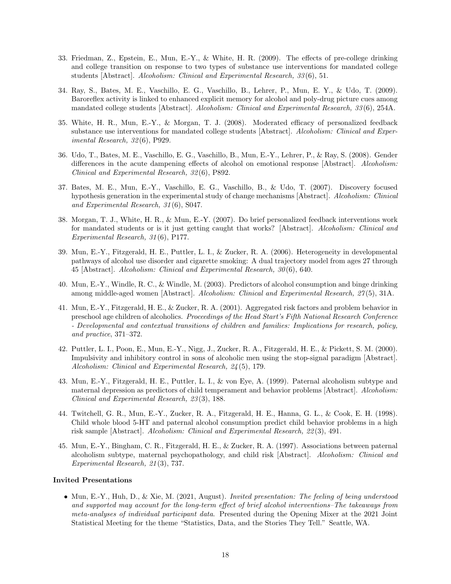- 33. Friedman, Z., Epstein, E., Mun, E.-Y., & White, H. R. (2009). The effects of pre-college drinking and college transition on response to two types of substance use interventions for mandated college students [Abstract]. Alcoholism: Clinical and Experimental Research, 33 (6), 51.
- 34. Ray, S., Bates, M. E., Vaschillo, E. G., Vaschillo, B., Lehrer, P., Mun, E. Y., & Udo, T. (2009). Baroreflex activity is linked to enhanced explicit memory for alcohol and poly-drug picture cues among mandated college students [Abstract]. Alcoholism: Clinical and Experimental Research, 33 (6), 254A.
- 35. White, H. R., Mun, E.-Y., & Morgan, T. J. (2008). Moderated efficacy of personalized feedback substance use interventions for mandated college students [Abstract]. Alcoholism: Clinical and Experimental Research, 32 (6), P929.
- 36. Udo, T., Bates, M. E., Vaschillo, E. G., Vaschillo, B., Mun, E.-Y., Lehrer, P., & Ray, S. (2008). Gender differences in the acute dampening effects of alcohol on emotional response [Abstract]. Alcoholism: Clinical and Experimental Research, 32 (6), P892.
- 37. Bates, M. E., Mun, E.-Y., Vaschillo, E. G., Vaschillo, B., & Udo, T. (2007). Discovery focused hypothesis generation in the experimental study of change mechanisms [Abstract]. Alcoholism: Clinical and Experimental Research, 31 (6), S047.
- 38. Morgan, T. J., White, H. R., & Mun, E.-Y. (2007). Do brief personalized feedback interventions work for mandated students or is it just getting caught that works? [Abstract]. Alcoholism: Clinical and Experimental Research, 31 (6), P177.
- 39. Mun, E.-Y., Fitzgerald, H. E., Puttler, L. I., & Zucker, R. A. (2006). Heterogeneity in developmental pathways of alcohol use disorder and cigarette smoking: A dual trajectory model from ages 27 through 45 [Abstract]. Alcoholism: Clinical and Experimental Research, 30 (6), 640.
- 40. Mun, E.-Y., Windle, R. C., & Windle, M. (2003). Predictors of alcohol consumption and binge drinking among middle-aged women [Abstract]. Alcoholism: Clinical and Experimental Research, 27 (5), 31A.
- 41. Mun, E.-Y., Fitzgerald, H. E., & Zucker, R. A. (2001). Aggregated risk factors and problem behavior in preschool age children of alcoholics. Proceedings of the Head Start's Fifth National Research Conference - Developmental and contextual transitions of children and families: Implications for research, policy, and practice, 371–372.
- 42. Puttler, L. I., Poon, E., Mun, E.-Y., Nigg, J., Zucker, R. A., Fitzgerald, H. E., & Pickett, S. M. (2000). Impulsivity and inhibitory control in sons of alcoholic men using the stop-signal paradigm [Abstract]. Alcoholism: Clinical and Experimental Research, 24 (5), 179.
- 43. Mun, E.-Y., Fitzgerald, H. E., Puttler, L. I., & von Eye, A. (1999). Paternal alcoholism subtype and maternal depression as predictors of child temperament and behavior problems [Abstract]. Alcoholism: Clinical and Experimental Research, 23 (3), 188.
- 44. Twitchell, G. R., Mun, E.-Y., Zucker, R. A., Fitzgerald, H. E., Hanna, G. L., & Cook, E. H. (1998). Child whole blood 5-HT and paternal alcohol consumption predict child behavior problems in a high risk sample [Abstract]. Alcoholism: Clinical and Experimental Research, 22 (3), 491.
- 45. Mun, E.-Y., Bingham, C. R., Fitzgerald, H. E., & Zucker, R. A. (1997). Associations between paternal alcoholism subtype, maternal psychopathology, and child risk [Abstract]. Alcoholism: Clinical and Experimental Research, 21 (3), 737.

#### Invited Presentations

• Mun, E.-Y., Huh, D., & Xie, M. (2021, August). Invited presentation: The feeling of being understood and supported may account for the long-term effect of brief alcohol interventions–The takeaways from meta-analyses of individual participant data. Presented during the Opening Mixer at the 2021 Joint Statistical Meeting for the theme "Statistics, Data, and the Stories They Tell." Seattle, WA.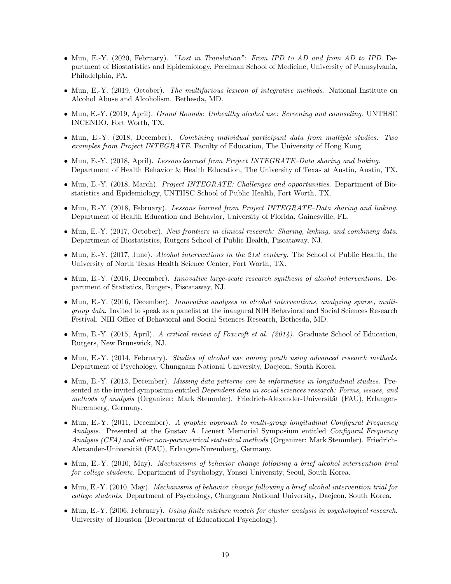- Mun, E.-Y. (2020, February). "Lost in Translation": From IPD to AD and from AD to IPD. Department of Biostatistics and Epidemiology, Perelman School of Medicine, University of Pennsylvania, Philadelphia, PA.
- Mun, E.-Y. (2019, October). The multifarious lexicon of integrative methods. National Institute on Alcohol Abuse and Alcoholism. Bethesda, MD.
- Mun, E.-Y. (2019, April). *Grand Rounds: Unhealthy alcohol use: Screening and counseling.* UNTHSC INCENDO, Fort Worth, TX.
- Mun, E.-Y. (2018, December). Combining individual participant data from multiple studies: Two examples from Project INTEGRATE. Faculty of Education, The University of Hong Kong.
- Mun, E.-Y. (2018, April). Lessons learned from Project INTEGRATE–Data sharing and linking. Department of Health Behavior & Health Education, The University of Texas at Austin, Austin, TX.
- Mun, E.-Y. (2018, March). *Project INTEGRATE: Challenges and opportunities*. Department of Biostatistics and Epidemiology, UNTHSC School of Public Health, Fort Worth, TX.
- Mun, E.-Y. (2018, February). Lessons learned from Project INTEGRATE–Data sharing and linking. Department of Health Education and Behavior, University of Florida, Gainesville, FL.
- Mun, E.-Y. (2017, October). New frontiers in clinical research: Sharing, linking, and combining data. Department of Biostatistics, Rutgers School of Public Health, Piscataway, NJ.
- Mun, E.-Y. (2017, June). Alcohol interventions in the 21st century. The School of Public Health, the University of North Texas Health Science Center, Fort Worth, TX.
- Mun, E.-Y. (2016, December). Innovative large-scale research synthesis of alcohol interventions. Department of Statistics, Rutgers, Piscataway, NJ.
- Mun, E.-Y. (2016, December). Innovative analyzes in alcohol interventions, analyzing sparse, multigroup data. Invited to speak as a panelist at the inaugural NIH Behavioral and Social Sciences Research Festival. NIH Office of Behavioral and Social Sciences Research, Bethesda, MD.
- Mun, E.-Y. (2015, April). A critical review of Foxcroft et al. (2014). Graduate School of Education, Rutgers, New Brunswick, NJ.
- Mun, E.-Y. (2014, February). Studies of alcohol use among youth using advanced research methods. Department of Psychology, Chungnam National University, Daejeon, South Korea.
- Mun, E.-Y. (2013, December). Missing data patterns can be informative in longitudinal studies. Presented at the invited symposium entitled Dependent data in social sciences research: Forms, issues, and methods of analysis (Organizer: Mark Stemmler). Friedrich-Alexander-Universität (FAU), Erlangen-Nuremberg, Germany.
- Mun, E.-Y. (2011, December). A graphic approach to multi-group longitudinal Configural Frequency Analysis. Presented at the Gustav A. Lienert Memorial Symposium entitled Configural Frequency Analysis (CFA) and other non-parametrical statistical methods (Organizer: Mark Stemmler). Friedrich-Alexander-Universität (FAU), Erlangen-Nuremberg, Germany.
- Mun, E.-Y. (2010, May). Mechanisms of behavior change following a brief alcohol intervention trial for college students. Department of Psychology, Yonsei University, Seoul, South Korea.
- Mun, E.-Y. (2010, May). Mechanisms of behavior change following a brief alcohol intervention trial for college students. Department of Psychology, Chungnam National University, Daejeon, South Korea.
- Mun, E.-Y. (2006, February). Using finite mixture models for cluster analysis in psychological research. University of Houston (Department of Educational Psychology).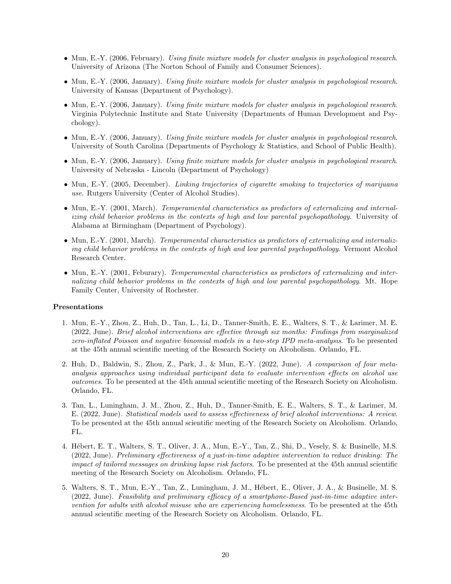- Mun, E.-Y. (2006, February). Using finite mixture models for cluster analysis in psychological research. University of Arizona (The Norton School of Family and Consumer Sciences).
- Mun, E.-Y. (2006, January). Using finite mixture models for cluster analysis in psychological research. University of Kansas (Department of Psychology).
- Mun, E.-Y. (2006, January). Using finite mixture models for cluster analysis in psychological research. Virginia Polytechnic Institute and State University (Departments of Human Development and Psychology).
- Mun, E.-Y. (2006, January). Using finite mixture models for cluster analysis in psychological research. University of South Carolina (Departments of Psychology & Statistics, and School of Public Health).
- Mun, E.-Y. (2006, January). Using finite mixture models for cluster analysis in psychological research. University of Nebraska - Lincoln (Department of Psychology)
- Mun, E.-Y. (2005, December). Linking trajectories of cigarette smoking to trajectories of marijuana use. Rutgers University (Center of Alcohol Studies).
- Mun, E.-Y. (2001, March). Temperamental characteristics as predictors of externalizing and internalizing child behavior problems in the contexts of high and low parental psychopathology. University of Alabama at Birmingham (Department of Psychology).
- Mun, E.-Y. (2001, March). Temperamental characteristics as predictors of externalizing and internalizing child behavior problems in the contexts of high and low parental psychopathology. Vermont Alcohol Research Center.
- Mun, E.-Y. (2001, Feburary). Temperamental characteristics as predictors of externalizing and internalizing child behavior problems in the contexts of high and low parental psychopathology. Mt. Hope Family Center, University of Rochester.

#### Presentations

- 1. Mun, E.-Y., Zhou, Z., Huh, D., Tan, L., Li, D., Tanner-Smith, E. E., Walters, S. T., & Larimer, M. E. (2022, June). Brief alcohol interventions are effective through six months: Findings from marginalized zero-inflated Poisson and negative binomial models in a two-step IPD meta-analysis. To be presented at the 45th annual scientific meeting of the Research Society on Alcoholism. Orlando, FL.
- 2. Huh, D., Baldwin, S., Zhou, Z., Park, J., & Mun, E.-Y. (2022, June). A comparison of four metaanalysis approaches using individual participant data to evaluate intervention effects on alcohol use outcomes. To be presented at the 45th annual scientific meeting of the Research Society on Alcoholism. Orlando, FL.
- 3. Tan, L., Luningham, J. M., Zhou, Z., Huh, D., Tanner-Smith, E. E., Walters, S. T., & Larimer, M. E. (2022, June). Statistical models used to assess effectiveness of brief alcohol interventions: A review. To be presented at the 45th annual scientific meeting of the Research Society on Alcoholism. Orlando, FL.
- 4. H´ebert, E. T., Walters, S. T., Oliver, J. A., Mun, E.-Y., Tan, Z., Shi, D., Vesely, S. & Businelle, M.S. (2022, June). Preliminary effectiveness of a just-in-time adaptive intervention to reduce drinking: The impact of tailored messages on drinking lapse risk factors. To be presented at the 45th annual scientific meeting of the Research Society on Alcoholism. Orlando, FL.
- 5. Walters, S. T., Mun, E.-Y., Tan, Z., Luningham, J. M., H´ebert, E., Oliver, J. A., & Businelle, M. S. (2022, June). Feasibility and preliminary efficacy of a smartphone-Based just-in-time adaptive intervention for adults with alcohol misuse who are experiencing homelessness. To be presented at the 45th annual scientific meeting of the Research Society on Alcoholism. Orlando, FL.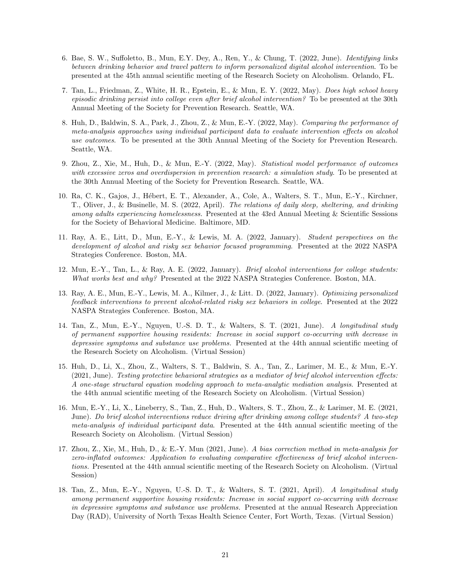- 6. Bae, S. W., Suffoletto, B., Mun, E.Y. Dey, A., Ren, Y., & Chung, T. (2022, June). Identifying links between drinking behavior and travel pattern to inform personalized digital alcohol intervention. To be presented at the 45th annual scientific meeting of the Research Society on Alcoholism. Orlando, FL.
- 7. Tan, L., Friedman, Z., White, H. R., Epstein, E., & Mun, E. Y. (2022, May). Does high school heavy episodic drinking persist into college even after brief alcohol intervention? To be presented at the 30th Annual Meeting of the Society for Prevention Research. Seattle, WA.
- 8. Huh, D., Baldwin, S. A., Park, J., Zhou, Z., & Mun, E.-Y. (2022, May). Comparing the performance of meta-analysis approaches using individual participant data to evaluate intervention effects on alcohol use outcomes. To be presented at the 30th Annual Meeting of the Society for Prevention Research. Seattle, WA.
- 9. Zhou, Z., Xie, M., Huh, D., & Mun, E.-Y. (2022, May). Statistical model performance of outcomes with excessive zeros and overdispersion in prevention research: a simulation study. To be presented at the 30th Annual Meeting of the Society for Prevention Research. Seattle, WA.
- 10. Ra, C. K., Gajos, J., H´ebert, E. T., Alexander, A., Cole, A., Walters, S. T., Mun, E.-Y., Kirchner, T., Oliver, J., & Businelle, M. S. (2022, April). The relations of daily sleep, sheltering, and drinking among adults experiencing homelessness. Presented at the 43rd Annual Meeting & Scientific Sessions for the Society of Behavioral Medicine. Baltimore, MD.
- 11. Ray, A. E., Litt, D., Mun, E.-Y., & Lewis, M. A. (2022, January). Student perspectives on the development of alcohol and risky sex behavior focused programming. Presented at the 2022 NASPA Strategies Conference. Boston, MA.
- 12. Mun, E.-Y., Tan, L., & Ray, A. E. (2022, January). Brief alcohol interventions for college students: What works best and why? Presented at the 2022 NASPA Strategies Conference. Boston, MA.
- 13. Ray, A. E., Mun, E.-Y., Lewis, M. A., Kilmer, J., & Litt. D. (2022, January). Optimizing personalized feedback interventions to prevent alcohol-related risky sex behaviors in college. Presented at the 2022 NASPA Strategies Conference. Boston, MA.
- 14. Tan, Z., Mun, E.-Y., Nguyen, U.-S. D. T., & Walters, S. T. (2021, June). A longitudinal study of permanent supportive housing residents: Increase in social support co-occurring with decrease in depressive symptoms and substance use problems. Presented at the 44th annual scientific meeting of the Research Society on Alcoholism. (Virtual Session)
- 15. Huh, D., Li, X., Zhou, Z., Walters, S. T., Baldwin, S. A., Tan, Z., Larimer, M. E., & Mun, E.-Y. (2021, June). Testing protective behavioral strategies as a mediator of brief alcohol intervention effects: A one-stage structural equation modeling approach to meta-analytic mediation analysis. Presented at the 44th annual scientific meeting of the Research Society on Alcoholism. (Virtual Session)
- 16. Mun, E.-Y., Li, X., Lineberry, S., Tan, Z., Huh, D., Walters, S. T., Zhou, Z., & Larimer, M. E. (2021, June). Do brief alcohol interventions reduce driving after drinking among college students? A two-step meta-analysis of individual participant data. Presented at the 44th annual scientific meeting of the Research Society on Alcoholism. (Virtual Session)
- 17. Zhou, Z., Xie, M., Huh, D., & E.-Y. Mun (2021, June). A bias correction method in meta-analysis for zero-inflated outcomes: Application to evaluating comparative effectiveness of brief alcohol interventions. Presented at the 44th annual scientific meeting of the Research Society on Alcoholism. (Virtual Session)
- 18. Tan, Z., Mun, E.-Y., Nguyen, U.-S. D. T., & Walters, S. T. (2021, April). A longitudinal study among permanent supportive housing residents: Increase in social support co-occurring with decrease in depressive symptoms and substance use problems. Presented at the annual Research Appreciation Day (RAD), University of North Texas Health Science Center, Fort Worth, Texas. (Virtual Session)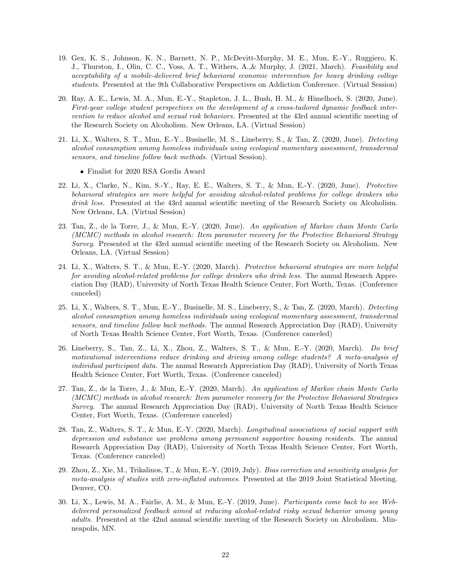- 19. Gex, K. S., Johnson, K. N., Barnett, N. P., McDevitt-Murphy, M. E., Mun, E.-Y., Ruggiero, K. J., Thurston, I., Olin, C. C., Voss, A. T., Withers, A.,& Murphy, J. (2021, March). Feasibility and acceptability of a mobile-delivered brief behavioral economic intervention for heavy drinking college students. Presented at the 9th Collaborative Perspectives on Addiction Conference. (Virtual Session)
- 20. Ray, A. E., Lewis, M. A., Mun, E.-Y., Stapleton, J. L., Bush, H. M., & Himelhoch, S. (2020, June). First-year college student perspectives on the development of a cross-tailored dynamic feedback intervention to reduce alcohol and sexual risk behaviors. Presented at the 43rd annual scientific meeting of the Research Society on Alcoholism. New Orleans, LA. (Virtual Session)
- 21. Li, X., Walters, S. T., Mun, E.-Y., Businelle, M. S., Lineberry, S., & Tan, Z. (2020, June). Detecting alcohol consumption among homeless individuals using ecological momentary assessment, transdermal sensors, and timeline follow back methods. (Virtual Session).
	- Finalist for 2020 RSA Gordis Award
- 22. Li, X., Clarke, N., Kim, S.-Y., Ray, E. E., Walters, S. T., & Mun, E.-Y. (2020, June). Protective behavioral strategies are more helpful for avoiding alcohol-related problems for college drinkers who drink less. Presented at the 43rd annual scientific meeting of the Research Society on Alcoholism. New Orleans, LA. (Virtual Session)
- 23. Tan, Z., de la Torre, J., & Mun, E.-Y. (2020, June). An application of Markov chain Monte Carlo (MCMC) methods in alcohol research: Item parameter recovery for the Protective Behavioral Strategy Survey. Presented at the 43rd annual scientific meeting of the Research Society on Alcoholism. New Orleans, LA. (Virtual Session)
- 24. Li, X., Walters, S. T., & Mun, E.-Y. (2020, March). Protective behavioral strategies are more helpful for avoiding alcohol-related problems for college drinkers who drink less. The annual Research Appreciation Day (RAD), University of North Texas Health Science Center, Fort Worth, Texas. (Conference canceled)
- 25. Li, X., Walters, S. T., Mun, E.-Y., Businelle, M. S., Lineberry, S., & Tan, Z. (2020, March). Detecting alcohol consumption among homeless individuals using ecological momentary assessment, transdermal sensors, and timeline follow back methods. The annual Research Appreciation Day (RAD), University of North Texas Health Science Center, Fort Worth, Texas. (Conference canceled)
- 26. Lineberry, S., Tan, Z., Li, X., Zhou, Z., Walters, S. T., & Mun, E.-Y. (2020, March). Do brief motivational interventions reduce drinking and driving among college students? A meta-analysis of individual participant data. The annual Research Appreciation Day (RAD), University of North Texas Health Science Center, Fort Worth, Texas. (Conference canceled)
- 27. Tan, Z., de la Torre, J., & Mun, E.-Y. (2020, March). An application of Markov chain Monte Carlo (MCMC) methods in alcohol research: Item parameter recovery for the Protective Behavioral Strategies Survey. The annual Research Appreciation Day  $(RAD)$ , University of North Texas Health Science Center, Fort Worth, Texas. (Conference canceled)
- 28. Tan, Z., Walters, S. T., & Mun, E.-Y. (2020, March). Longitudinal associations of social support with depression and substance use problems among permanent supportive housing residents. The annual Research Appreciation Day (RAD), University of North Texas Health Science Center, Fort Worth, Texas. (Conference canceled)
- 29. Zhou, Z., Xie, M., Trikalinos, T., & Mun, E.-Y. (2019, July). Bias correction and sensitivity analysis for meta-analysis of studies with zero-inflated outcomes. Presented at the 2019 Joint Statistical Meeting. Denver, CO.
- 30. Li, X., Lewis, M. A., Fairlie, A. M., & Mun, E.-Y. (2019, June). Participants come back to see Webdelivered personalized feedback aimed at reducing alcohol-related risky sexual behavior among young adults. Presented at the 42nd annual scientific meeting of the Research Society on Alcoholism. Minneapolis, MN.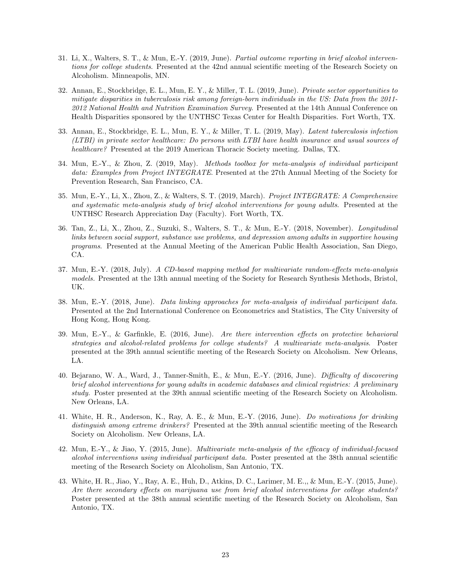- 31. Li, X., Walters, S. T., & Mun, E.-Y. (2019, June). Partial outcome reporting in brief alcohol interventions for college students. Presented at the 42nd annual scientific meeting of the Research Society on Alcoholism. Minneapolis, MN.
- 32. Annan, E., Stockbridge, E. L., Mun, E. Y., & Miller, T. L. (2019, June). Private sector opportunities to mitigate disparities in tuberculosis risk among foreign-born individuals in the US: Data from the 2011- 2012 National Health and Nutrition Examination Survey. Presented at the 14th Annual Conference on Health Disparities sponsored by the UNTHSC Texas Center for Health Disparities. Fort Worth, TX.
- 33. Annan, E., Stockbridge, E. L., Mun, E. Y., & Miller, T. L. (2019, May). Latent tuberculosis infection (LTBI) in private sector healthcare: Do persons with LTBI have health insurance and usual sources of healthcare? Presented at the 2019 American Thoracic Society meeting. Dallas, TX.
- 34. Mun, E.-Y., & Zhou, Z. (2019, May). Methods toolbox for meta-analysis of individual participant data: Examples from Project INTEGRATE. Presented at the 27th Annual Meeting of the Society for Prevention Research, San Francisco, CA.
- 35. Mun, E.-Y., Li, X., Zhou, Z., & Walters, S. T. (2019, March). Project INTEGRATE: A Comprehensive and systematic meta-analysis study of brief alcohol interventions for young adults. Presented at the UNTHSC Research Appreciation Day (Faculty). Fort Worth, TX.
- 36. Tan, Z., Li, X., Zhou, Z., Suzuki, S., Walters, S. T., & Mun, E.-Y. (2018, November). Longitudinal links between social support, substance use problems, and depression among adults in supportive housing programs. Presented at the Annual Meeting of the American Public Health Association, San Diego, CA.
- 37. Mun, E.-Y. (2018, July). A CD-based mapping method for multivariate random-effects meta-analysis models. Presented at the 13th annual meeting of the Society for Research Synthesis Methods, Bristol, UK.
- 38. Mun, E.-Y. (2018, June). Data linking approaches for meta-analysis of individual participant data. Presented at the 2nd International Conference on Econometrics and Statistics, The City University of Hong Kong, Hong Kong.
- 39. Mun, E.-Y., & Garfinkle, E. (2016, June). Are there intervention effects on protective behavioral strategies and alcohol-related problems for college students? A multivariate meta-analysis. Poster presented at the 39th annual scientific meeting of the Research Society on Alcoholism. New Orleans, LA.
- 40. Bejarano, W. A., Ward, J., Tanner-Smith, E., & Mun, E.-Y. (2016, June). Difficulty of discovering brief alcohol interventions for young adults in academic databases and clinical registries: A preliminary study. Poster presented at the 39th annual scientific meeting of the Research Society on Alcoholism. New Orleans, LA.
- 41. White, H. R., Anderson, K., Ray, A. E., & Mun, E.-Y. (2016, June). Do motivations for drinking distinguish among extreme drinkers? Presented at the 39th annual scientific meeting of the Research Society on Alcoholism. New Orleans, LA.
- 42. Mun, E.-Y., & Jiao, Y. (2015, June). Multivariate meta-analysis of the efficacy of individual-focused alcohol interventions using individual participant data. Poster presented at the 38th annual scientific meeting of the Research Society on Alcoholism, San Antonio, TX.
- 43. White, H. R., Jiao, Y., Ray, A. E., Huh, D., Atkins, D. C., Larimer, M. E.,, & Mun, E.-Y. (2015, June). Are there secondary effects on marijuana use from brief alcohol interventions for college students? Poster presented at the 38th annual scientific meeting of the Research Society on Alcoholism, San Antonio, TX.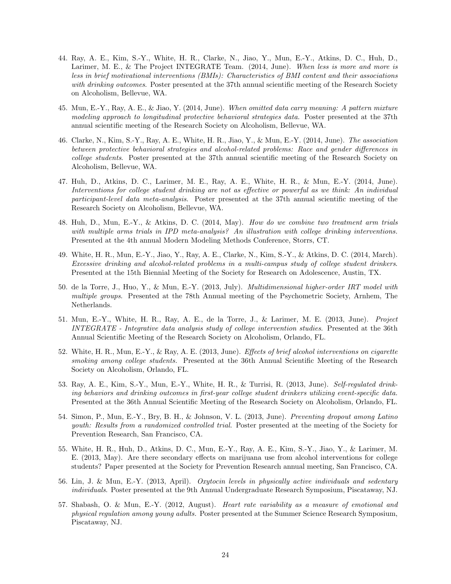- 44. Ray, A. E., Kim, S.-Y., White, H. R., Clarke, N., Jiao, Y., Mun, E.-Y., Atkins, D. C., Huh, D., Larimer, M. E., & The Project INTEGRATE Team. (2014, June). When less is more and more is less in brief motivational interventions (BMIs): Characteristics of BMI content and their associations with drinking outcomes. Poster presented at the 37th annual scientific meeting of the Research Society on Alcoholism, Bellevue, WA.
- 45. Mun, E.-Y., Ray, A. E., & Jiao, Y. (2014, June). When omitted data carry meaning: A pattern mixture modeling approach to longitudinal protective behavioral strategies data. Poster presented at the 37th annual scientific meeting of the Research Society on Alcoholism, Bellevue, WA.
- 46. Clarke, N., Kim, S.-Y., Ray, A. E., White, H. R., Jiao, Y., & Mun, E.-Y. (2014, June). The association between protective behavioral strategies and alcohol-related problems: Race and gender differences in college students. Poster presented at the 37th annual scientific meeting of the Research Society on Alcoholism, Bellevue, WA.
- 47. Huh, D., Atkins, D. C., Larimer, M. E., Ray, A. E., White, H. R., & Mun, E.-Y. (2014, June). Interventions for college student drinking are not as effective or powerful as we think: An individual participant-level data meta-analysis. Poster presented at the 37th annual scientific meeting of the Research Society on Alcoholism, Bellevue, WA.
- 48. Huh, D., Mun, E.-Y., & Atkins, D. C. (2014, May). How do we combine two treatment arm trials with multiple arms trials in IPD meta-analysis? An illustration with college drinking interventions. Presented at the 4th annual Modern Modeling Methods Conference, Storrs, CT.
- 49. White, H. R., Mun, E.-Y., Jiao, Y., Ray, A. E., Clarke, N., Kim, S.-Y., & Atkins, D. C. (2014, March). Excessive drinking and alcohol-related problems in a multi-campus study of college student drinkers. Presented at the 15th Biennial Meeting of the Society for Research on Adolescence, Austin, TX.
- 50. de la Torre, J., Huo, Y., & Mun, E.-Y. (2013, July). Multidimensional higher-order IRT model with multiple groups. Presented at the 78th Annual meeting of the Psychometric Society, Arnhem, The Netherlands.
- 51. Mun, E.-Y., White, H. R., Ray, A. E., de la Torre, J., & Larimer, M. E. (2013, June). Project INTEGRATE - Integrative data analysis study of college intervention studies. Presented at the 36th Annual Scientific Meeting of the Research Society on Alcoholism, Orlando, FL.
- 52. White, H. R., Mun, E.-Y., & Ray, A. E. (2013, June). Effects of brief alcohol interventions on cigarette smoking among college students. Presented at the 36th Annual Scientific Meeting of the Research Society on Alcoholism, Orlando, FL.
- 53. Ray, A. E., Kim, S.-Y., Mun, E.-Y., White, H. R., & Turrisi, R. (2013, June). Self-regulated drinking behaviors and drinking outcomes in first-year college student drinkers utilizing event-specific data. Presented at the 36th Annual Scientific Meeting of the Research Society on Alcoholism, Orlando, FL.
- 54. Simon, P., Mun, E.-Y., Bry, B. H., & Johnson, V. L. (2013, June). Preventing dropout among Latino youth: Results from a randomized controlled trial. Poster presented at the meeting of the Society for Prevention Research, San Francisco, CA.
- 55. White, H. R., Huh, D., Atkins, D. C., Mun, E.-Y., Ray, A. E., Kim, S.-Y., Jiao, Y., & Larimer, M. E. (2013, May). Are there secondary effects on marijuana use from alcohol interventions for college students? Paper presented at the Society for Prevention Research annual meeting, San Francisco, CA.
- 56. Lin, J. & Mun, E.-Y. (2013, April). Oxytocin levels in physically active individuals and sedentary individuals. Poster presented at the 9th Annual Undergraduate Research Symposium, Piscataway, NJ.
- 57. Shabash, O. & Mun, E.-Y. (2012, August). Heart rate variability as a measure of emotional and physical regulation among young adults. Poster presented at the Summer Science Research Symposium, Piscataway, NJ.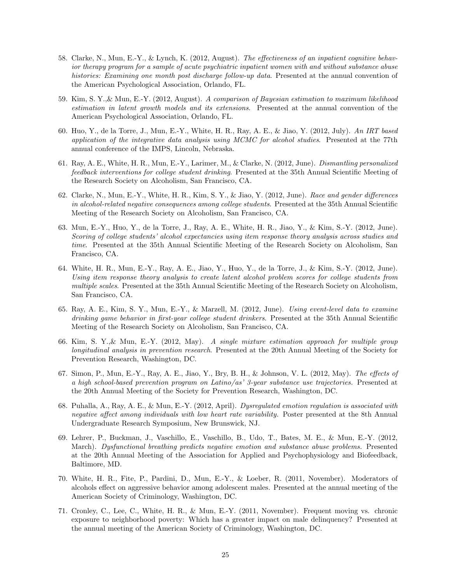- 58. Clarke, N., Mun, E.-Y., & Lynch, K. (2012, August). The effectiveness of an inpatient cognitive behavior therapy program for a sample of acute psychiatric inpatient women with and without substance abuse histories: Examining one month post discharge follow-up data. Presented at the annual convention of the American Psychological Association, Orlando, FL.
- 59. Kim, S. Y.,& Mun, E.-Y. (2012, August). A comparison of Bayesian estimation to maximum likelihood estimation in latent growth models and its extensions. Presented at the annual convention of the American Psychological Association, Orlando, FL.
- 60. Huo, Y., de la Torre, J., Mun, E.-Y., White, H. R., Ray, A. E., & Jiao, Y. (2012, July). An IRT based application of the integrative data analysis using MCMC for alcohol studies. Presented at the 77th annual conference of the IMPS, Lincoln, Nebraska.
- 61. Ray, A. E., White, H. R., Mun, E.-Y., Larimer, M., & Clarke, N. (2012, June). Dismantling personalized feedback interventions for college student drinking. Presented at the 35th Annual Scientific Meeting of the Research Society on Alcoholism, San Francisco, CA.
- 62. Clarke, N., Mun, E.-Y., White, H. R., Kim, S. Y., & Jiao, Y. (2012, June). Race and gender differences in alcohol-related negative consequences among college students. Presented at the 35th Annual Scientific Meeting of the Research Society on Alcoholism, San Francisco, CA.
- 63. Mun, E.-Y., Huo, Y., de la Torre, J., Ray, A. E., White, H. R., Jiao, Y., & Kim, S.-Y. (2012, June). Scoring of college students' alcohol expectancies using item response theory analysis across studies and time. Presented at the 35th Annual Scientific Meeting of the Research Society on Alcoholism, San Francisco, CA.
- 64. White, H. R., Mun, E.-Y., Ray, A. E., Jiao, Y., Huo, Y., de la Torre, J., & Kim, S.-Y. (2012, June). Using item response theory analysis to create latent alcohol problem scores for college students from multiple scales. Presented at the 35th Annual Scientific Meeting of the Research Society on Alcoholism, San Francisco, CA.
- 65. Ray, A. E., Kim, S. Y., Mun, E.-Y., & Marzell, M. (2012, June). Using event-level data to examine drinking game behavior in first-year college student drinkers. Presented at the 35th Annual Scientific Meeting of the Research Society on Alcoholism, San Francisco, CA.
- 66. Kim, S. Y.,& Mun, E.-Y. (2012, May). A single mixture estimation approach for multiple group longitudinal analysis in prevention research. Presented at the 20th Annual Meeting of the Society for Prevention Research, Washington, DC.
- 67. Simon, P., Mun, E.-Y., Ray, A. E., Jiao, Y., Bry, B. H., & Johnson, V. L. (2012, May). The effects of a high school-based prevention program on Latino/as' 3-year substance use trajectories. Presented at the 20th Annual Meeting of the Society for Prevention Research, Washington, DC.
- 68. Puhalla, A., Ray, A. E., & Mun, E.-Y. (2012, April). Dysregulated emotion regulation is associated with negative affect among individuals with low heart rate variability. Poster presented at the 8th Annual Undergraduate Research Symposium, New Brunswick, NJ.
- 69. Lehrer, P., Buckman, J., Vaschillo, E., Vaschillo, B., Udo, T., Bates, M. E., & Mun, E.-Y. (2012, March). Dysfunctional breathing predicts negative emotion and substance abuse problems. Presented at the 20th Annual Meeting of the Association for Applied and Psychophysiology and Biofeedback, Baltimore, MD.
- 70. White, H. R., Fite, P., Pardini, D., Mun, E.-Y., & Loeber, R. (2011, November). Moderators of alcohols effect on aggressive behavior among adolescent males. Presented at the annual meeting of the American Society of Criminology, Washington, DC.
- 71. Cronley, C., Lee, C., White, H. R., & Mun, E.-Y. (2011, November). Frequent moving vs. chronic exposure to neighborhood poverty: Which has a greater impact on male delinquency? Presented at the annual meeting of the American Society of Criminology, Washington, DC.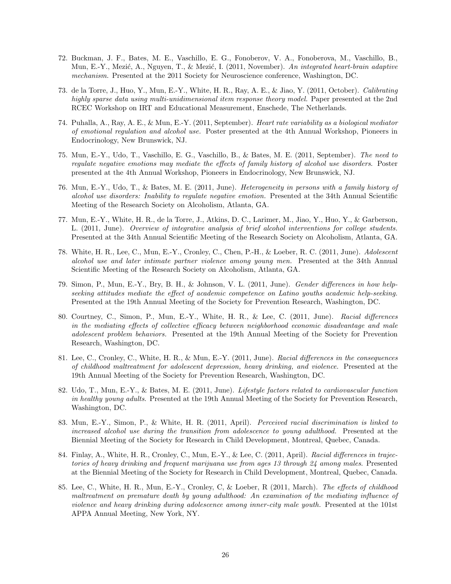- 72. Buckman, J. F., Bates, M. E., Vaschillo, E. G., Fonoberov, V. A., Fonoberova, M., Vaschillo, B., Mun, E.-Y., Mezić, A., Nguyen, T., & Mezić, I. (2011, November). An integrated heart-brain adaptive mechanism. Presented at the 2011 Society for Neuroscience conference, Washington, DC.
- 73. de la Torre, J., Huo, Y., Mun, E.-Y., White, H. R., Ray, A. E., & Jiao, Y. (2011, October). Calibrating highly sparse data using multi-unidimensional item response theory model. Paper presented at the 2nd RCEC Workshop on IRT and Educational Measurement, Enschede, The Netherlands.
- 74. Puhalla, A., Ray, A. E., & Mun, E.-Y. (2011, September). Heart rate variability as a biological mediator of emotional regulation and alcohol use. Poster presented at the 4th Annual Workshop, Pioneers in Endocrinology, New Brunswick, NJ.
- 75. Mun, E.-Y., Udo, T., Vaschillo, E. G., Vaschillo, B., & Bates, M. E. (2011, September). The need to regulate negative emotions may mediate the effects of family history of alcohol use disorders. Poster presented at the 4th Annual Workshop, Pioneers in Endocrinology, New Brunswick, NJ.
- 76. Mun, E.-Y., Udo, T., & Bates, M. E. (2011, June). Heterogeneity in persons with a family history of alcohol use disorders: Inability to regulate negative emotion. Presented at the 34th Annual Scientific Meeting of the Research Society on Alcoholism, Atlanta, GA.
- 77. Mun, E.-Y., White, H. R., de la Torre, J., Atkins, D. C., Larimer, M., Jiao, Y., Huo, Y., & Garberson, L. (2011, June). Overview of integrative analysis of brief alcohol interventions for college students. Presented at the 34th Annual Scientific Meeting of the Research Society on Alcoholism, Atlanta, GA.
- 78. White, H. R., Lee, C., Mun, E.-Y., Cronley, C., Chen, P.-H., & Loeber, R. C. (2011, June). Adolescent alcohol use and later intimate partner violence among young men. Presented at the 34th Annual Scientific Meeting of the Research Society on Alcoholism, Atlanta, GA.
- 79. Simon, P., Mun, E.-Y., Bry, B. H., & Johnson, V. L. (2011, June). Gender differences in how helpseeking attitudes mediate the effect of academic competence on Latino youths academic help-seeking. Presented at the 19th Annual Meeting of the Society for Prevention Research, Washington, DC.
- 80. Courtney, C., Simon, P., Mun, E.-Y., White, H. R., & Lee, C. (2011, June). Racial differences in the mediating effects of collective efficacy between neighborhood economic disadvantage and male adolescent problem behaviors. Presented at the 19th Annual Meeting of the Society for Prevention Research, Washington, DC.
- 81. Lee, C., Cronley, C., White, H. R., & Mun, E.-Y. (2011, June). Racial differences in the consequences of childhood maltreatment for adolescent depression, heavy drinking, and violence. Presented at the 19th Annual Meeting of the Society for Prevention Research, Washington, DC.
- 82. Udo, T., Mun, E.-Y., & Bates, M. E. (2011, June). Lifestyle factors related to cardiovascular function in healthy young adults. Presented at the 19th Annual Meeting of the Society for Prevention Research, Washington, DC.
- 83. Mun, E.-Y., Simon, P., & White, H. R. (2011, April). Perceived racial discrimination is linked to increased alcohol use during the transition from adolescence to young adulthood. Presented at the Biennial Meeting of the Society for Research in Child Development, Montreal, Quebec, Canada.
- 84. Finlay, A., White, H. R., Cronley, C., Mun, E.-Y., & Lee, C. (2011, April). Racial differences in trajectories of heavy drinking and frequent marijuana use from ages 13 through 24 among males. Presented at the Biennial Meeting of the Society for Research in Child Development, Montreal, Quebec, Canada.
- 85. Lee, C., White, H. R., Mun, E.-Y., Cronley, C, & Loeber, R (2011, March). The effects of childhood maltreatment on premature death by young adulthood: An examination of the mediating influence of violence and heavy drinking during adolescence among inner-city male youth. Presented at the 101st APPA Annual Meeting, New York, NY.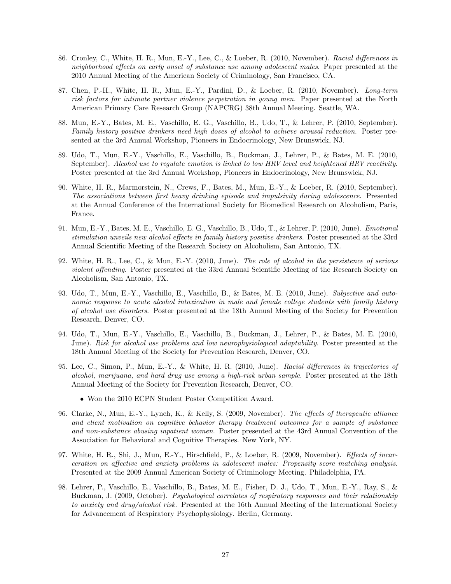- 86. Cronley, C., White, H. R., Mun, E.-Y., Lee, C., & Loeber, R. (2010, November). Racial differences in neighborhood effects on early onset of substance use among adolescent males. Paper presented at the 2010 Annual Meeting of the American Society of Criminology, San Francisco, CA.
- 87. Chen, P.-H., White, H. R., Mun, E.-Y., Pardini, D., & Loeber, R. (2010, November). Long-term risk factors for intimate partner violence perpetration in young men. Paper presented at the North American Primary Care Research Group (NAPCRG) 38th Annual Meeting. Seattle, WA.
- 88. Mun, E.-Y., Bates, M. E., Vaschillo, E. G., Vaschillo, B., Udo, T., & Lehrer, P. (2010, September). Family history positive drinkers need high doses of alcohol to achieve arousal reduction. Poster presented at the 3rd Annual Workshop, Pioneers in Endocrinology, New Brunswick, NJ.
- 89. Udo, T., Mun, E.-Y., Vaschillo, E., Vaschillo, B., Buckman, J., Lehrer, P., & Bates, M. E. (2010, September). Alcohol use to regulate emotion is linked to low HRV level and heightened HRV reactivity. Poster presented at the 3rd Annual Workshop, Pioneers in Endocrinology, New Brunswick, NJ.
- 90. White, H. R., Marmorstein, N., Crews, F., Bates, M., Mun, E.-Y., & Loeber, R. (2010, September). The associations between first heavy drinking episode and impulsivity during adolescence. Presented at the Annual Conference of the International Society for Biomedical Research on Alcoholism, Paris, France.
- 91. Mun, E.-Y., Bates, M. E., Vaschillo, E. G., Vaschillo, B., Udo, T., & Lehrer, P. (2010, June). Emotional stimulation unveils new alcohol effects in family history positive drinkers. Poster presented at the 33rd Annual Scientific Meeting of the Research Society on Alcoholism, San Antonio, TX.
- 92. White, H. R., Lee, C., & Mun, E.-Y. (2010, June). The role of alcohol in the persistence of serious violent offending. Poster presented at the 33rd Annual Scientific Meeting of the Research Society on Alcoholism, San Antonio, TX.
- 93. Udo, T., Mun, E.-Y., Vaschillo, E., Vaschillo, B., & Bates, M. E. (2010, June). Subjective and autonomic response to acute alcohol intoxication in male and female college students with family history of alcohol use disorders. Poster presented at the 18th Annual Meeting of the Society for Prevention Research, Denver, CO.
- 94. Udo, T., Mun, E.-Y., Vaschillo, E., Vaschillo, B., Buckman, J., Lehrer, P., & Bates, M. E. (2010, June). Risk for alcohol use problems and low neurophysiological adaptability. Poster presented at the 18th Annual Meeting of the Society for Prevention Research, Denver, CO.
- 95. Lee, C., Simon, P., Mun, E.-Y., & White, H. R. (2010, June). Racial differences in trajectories of alcohol, marijuana, and hard drug use among a high-risk urban sample. Poster presented at the 18th Annual Meeting of the Society for Prevention Research, Denver, CO.
	- Won the 2010 ECPN Student Poster Competition Award.
- 96. Clarke, N., Mun, E.-Y., Lynch, K., & Kelly, S. (2009, November). The effects of therapeutic alliance and client motivation on cognitive behavior therapy treatment outcomes for a sample of substance and non-substance abusing inpatient women. Poster presented at the 43rd Annual Convention of the Association for Behavioral and Cognitive Therapies. New York, NY.
- 97. White, H. R., Shi, J., Mun, E.-Y., Hirschfield, P., & Loeber, R. (2009, November). Effects of incarceration on affective and anxiety problems in adolescent males: Propensity score matching analysis. Presented at the 2009 Annual American Society of Criminology Meeting. Philadelphia, PA.
- 98. Lehrer, P., Vaschillo, E., Vaschillo, B., Bates, M. E., Fisher, D. J., Udo, T., Mun, E.-Y., Ray, S., & Buckman, J. (2009, October). Psychological correlates of respiratory responses and their relationship to anxiety and drug/alcohol risk. Presented at the 16th Annual Meeting of the International Society for Advancement of Respiratory Psychophysiology. Berlin, Germany.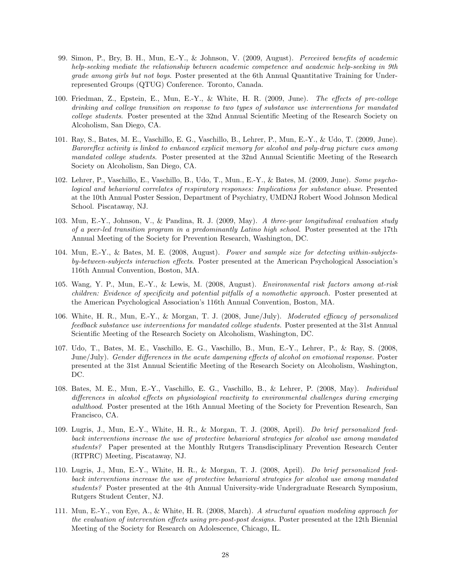- 99. Simon, P., Bry, B. H., Mun, E.-Y., & Johnson, V. (2009, August). Perceived benefits of academic help-seeking mediate the relationship between academic competence and academic help-seeking in 9th grade among girls but not boys. Poster presented at the 6th Annual Quantitative Training for Underrepresented Groups (QTUG) Conference. Toronto, Canada.
- 100. Friedman, Z., Epstein, E., Mun, E.-Y., & White, H. R. (2009, June). The effects of pre-college drinking and college transition on response to two types of substance use interventions for mandated college students. Poster presented at the 32nd Annual Scientific Meeting of the Research Society on Alcoholism, San Diego, CA.
- 101. Ray, S., Bates, M. E., Vaschillo, E. G., Vaschillo, B., Lehrer, P., Mun, E.-Y., & Udo, T. (2009, June). Baroreflex activity is linked to enhanced explicit memory for alcohol and poly-drug picture cues among mandated college students. Poster presented at the 32nd Annual Scientific Meeting of the Research Society on Alcoholism, San Diego, CA.
- 102. Lehrer, P., Vaschillo, E., Vaschillo, B., Udo, T., Mun., E.-Y., & Bates, M. (2009, June). Some psychological and behavioral correlates of respiratory responses: Implications for substance abuse. Presented at the 10th Annual Poster Session, Department of Psychiatry, UMDNJ Robert Wood Johnson Medical School. Piscataway, NJ.
- 103. Mun, E.-Y., Johnson, V., & Pandina, R. J. (2009, May). A three-year longitudinal evaluation study of a peer-led transition program in a predominantly Latino high school. Poster presented at the 17th Annual Meeting of the Society for Prevention Research, Washington, DC.
- 104. Mun, E.-Y., & Bates, M. E. (2008, August). Power and sample size for detecting within-subjectsby-between-subjects interaction effects. Poster presented at the American Psychological Association's 116th Annual Convention, Boston, MA.
- 105. Wang, Y. P., Mun, E.-Y., & Lewis, M. (2008, August). Environmental risk factors among at-risk children: Evidence of specificity and potential pitfalls of a nomothetic approach. Poster presented at the American Psychological Association's 116th Annual Convention, Boston, MA.
- 106. White, H. R., Mun, E.-Y., & Morgan, T. J. (2008, June/July). Moderated efficacy of personalized feedback substance use interventions for mandated college students. Poster presented at the 31st Annual Scientific Meeting of the Research Society on Alcoholism, Washington, DC.
- 107. Udo, T., Bates, M. E., Vaschillo, E. G., Vaschillo, B., Mun, E.-Y., Lehrer, P., & Ray, S. (2008, June/July). Gender differences in the acute dampening effects of alcohol on emotional response. Poster presented at the 31st Annual Scientific Meeting of the Research Society on Alcoholism, Washington, DC.
- 108. Bates, M. E., Mun, E.-Y., Vaschillo, E. G., Vaschillo, B., & Lehrer, P. (2008, May). Individual differences in alcohol effects on physiological reactivity to environmental challenges during emerging adulthood. Poster presented at the 16th Annual Meeting of the Society for Prevention Research, San Francisco, CA.
- 109. Lugris, J., Mun, E.-Y., White, H. R., & Morgan, T. J. (2008, April). Do brief personalized feedback interventions increase the use of protective behavioral strategies for alcohol use among mandated students? Paper presented at the Monthly Rutgers Transdisciplinary Prevention Research Center (RTPRC) Meeting, Piscataway, NJ.
- 110. Lugris, J., Mun, E.-Y., White, H. R., & Morgan, T. J. (2008, April). Do brief personalized feedback interventions increase the use of protective behavioral strategies for alcohol use among mandated students? Poster presented at the 4th Annual University-wide Undergraduate Research Symposium, Rutgers Student Center, NJ.
- 111. Mun, E.-Y., von Eye, A., & White, H. R. (2008, March). A structural equation modeling approach for the evaluation of intervention effects using pre-post-post designs. Poster presented at the 12th Biennial Meeting of the Society for Research on Adolescence, Chicago, IL.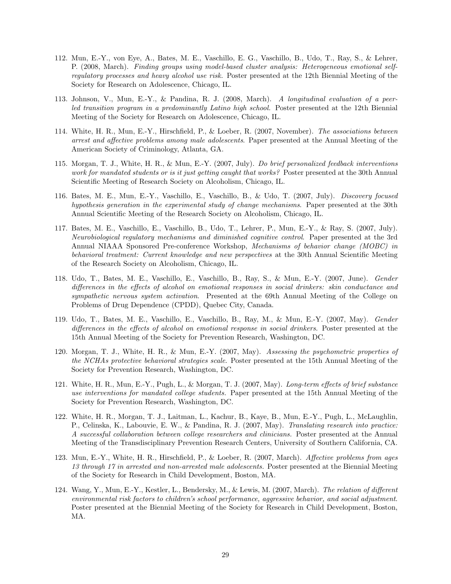- 112. Mun, E.-Y., von Eye, A., Bates, M. E., Vaschillo, E. G., Vaschillo, B., Udo, T., Ray, S., & Lehrer, P. (2008, March). Finding groups using model-based cluster analysis: Heterogeneous emotional selfregulatory processes and heavy alcohol use risk. Poster presented at the 12th Biennial Meeting of the Society for Research on Adolescence, Chicago, IL.
- 113. Johnson, V., Mun, E.-Y., & Pandina, R. J. (2008, March). A longitudinal evaluation of a peerled transition program in a predominantly Latino high school. Poster presented at the 12th Biennial Meeting of the Society for Research on Adolescence, Chicago, IL.
- 114. White, H. R., Mun, E.-Y., Hirschfield, P., & Loeber, R. (2007, November). The associations between arrest and affective problems among male adolescents. Paper presented at the Annual Meeting of the American Society of Criminology, Atlanta, GA.
- 115. Morgan, T. J., White, H. R., & Mun, E.-Y. (2007, July). Do brief personalized feedback interventions work for mandated students or is it just getting caught that works? Poster presented at the 30th Annual Scientific Meeting of Research Society on Alcoholism, Chicago, IL.
- 116. Bates, M. E., Mun, E.-Y., Vaschillo, E., Vaschillo, B., & Udo, T. (2007, July). Discovery focused hypothesis generation in the experimental study of change mechanisms. Paper presented at the 30th Annual Scientific Meeting of the Research Society on Alcoholism, Chicago, IL.
- 117. Bates, M. E., Vaschillo, E., Vaschillo, B., Udo, T., Lehrer, P., Mun, E.-Y., & Ray, S. (2007, July). Neurobiological regulatory mechanisms and diminished cognitive control. Paper presented at the 3rd Annual NIAAA Sponsored Pre-conference Workshop, Mechanisms of behavior change (MOBC) in behavioral treatment: Current knowledge and new perspectives at the 30th Annual Scientific Meeting of the Research Society on Alcoholism, Chicago, IL.
- 118. Udo, T., Bates, M. E., Vaschillo, E., Vaschillo, B., Ray, S., & Mun, E.-Y. (2007, June). Gender differences in the effects of alcohol on emotional responses in social drinkers: skin conductance and sympathetic nervous system activation. Presented at the 69th Annual Meeting of the College on Problems of Drug Dependence (CPDD), Quebec City, Canada.
- 119. Udo, T., Bates, M. E., Vaschillo, E., Vaschillo, B., Ray, M., & Mun, E.-Y. (2007, May). Gender differences in the effects of alcohol on emotional response in social drinkers. Poster presented at the 15th Annual Meeting of the Society for Prevention Research, Washington, DC.
- 120. Morgan, T. J., White, H. R., & Mun, E.-Y. (2007, May). Assessing the psychometric properties of the NCHAs protective behavioral strategies scale. Poster presented at the 15th Annual Meeting of the Society for Prevention Research, Washington, DC.
- 121. White, H. R., Mun, E.-Y., Pugh, L., & Morgan, T. J. (2007, May). Long-term effects of brief substance use interventions for mandated college students. Paper presented at the 15th Annual Meeting of the Society for Prevention Research, Washington, DC.
- 122. White, H. R., Morgan, T. J., Laitman, L., Kachur, B., Kaye, B., Mun, E.-Y., Pugh, L., McLaughlin, P., Celinska, K., Labouvie, E. W., & Pandina, R. J. (2007, May). Translating research into practice: A successful collaboration between college researchers and clinicians. Poster presented at the Annual Meeting of the Transdisciplinary Prevention Research Centers, University of Southern California, CA.
- 123. Mun, E.-Y., White, H. R., Hirschfield, P., & Loeber, R. (2007, March). Affective problems from ages 13 through 17 in arrested and non-arrested male adolescents. Poster presented at the Biennial Meeting of the Society for Research in Child Development, Boston, MA.
- 124. Wang, Y., Mun, E.-Y., Kestler, L., Bendersky, M., & Lewis, M. (2007, March). The relation of different environmental risk factors to children's school performance, aggressive behavior, and social adjustment. Poster presented at the Biennial Meeting of the Society for Research in Child Development, Boston, MA.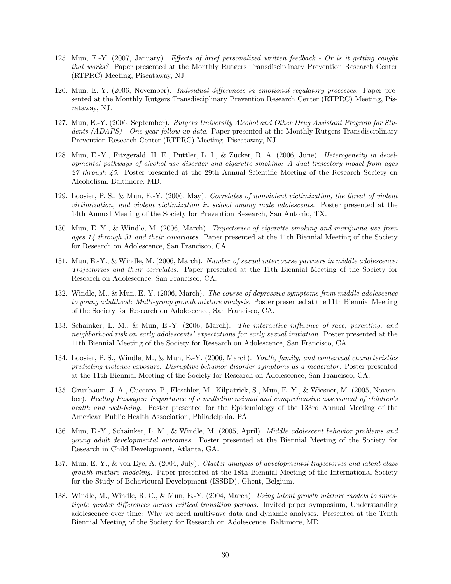- 125. Mun, E.-Y. (2007, January). Effects of brief personalized written feedback Or is it getting caught that works? Paper presented at the Monthly Rutgers Transdisciplinary Prevention Research Center (RTPRC) Meeting, Piscataway, NJ.
- 126. Mun, E.-Y. (2006, November). Individual differences in emotional regulatory processes. Paper presented at the Monthly Rutgers Transdisciplinary Prevention Research Center (RTPRC) Meeting, Piscataway, NJ.
- 127. Mun, E.-Y. (2006, September). Rutgers University Alcohol and Other Drug Assistant Program for Students (ADAPS) - One-year follow-up data. Paper presented at the Monthly Rutgers Transdisciplinary Prevention Research Center (RTPRC) Meeting, Piscataway, NJ.
- 128. Mun, E.-Y., Fitzgerald, H. E., Puttler, L. I., & Zucker, R. A. (2006, June). Heterogeneity in developmental pathways of alcohol use disorder and cigarette smoking: A dual trajectory model from ages 27 through 45. Poster presented at the 29th Annual Scientific Meeting of the Research Society on Alcoholism, Baltimore, MD.
- 129. Loosier, P. S., & Mun, E.-Y. (2006, May). Correlates of nonviolent victimization, the threat of violent victimization, and violent victimization in school among male adolescents. Poster presented at the 14th Annual Meeting of the Society for Prevention Research, San Antonio, TX.
- 130. Mun, E.-Y., & Windle, M. (2006, March). Trajectories of cigarette smoking and marijuana use from ages 14 through 31 and their covariates. Paper presented at the 11th Biennial Meeting of the Society for Research on Adolescence, San Francisco, CA.
- 131. Mun, E.-Y., & Windle, M. (2006, March). Number of sexual intercourse partners in middle adolescence: Trajectories and their correlates. Paper presented at the 11th Biennial Meeting of the Society for Research on Adolescence, San Francisco, CA.
- 132. Windle, M., & Mun, E.-Y. (2006, March). The course of depressive symptoms from middle adolescence to young adulthood: Multi-group growth mixture analysis. Poster presented at the 11th Biennial Meeting of the Society for Research on Adolescence, San Francisco, CA.
- 133. Schainker, L. M., & Mun, E.-Y. (2006, March). The interactive influence of race, parenting, and neighborhood risk on early adolescents' expectations for early sexual initiation. Poster presented at the 11th Biennial Meeting of the Society for Research on Adolescence, San Francisco, CA.
- 134. Loosier, P. S., Windle, M., & Mun, E.-Y. (2006, March). Youth, family, and contextual characteristics predicting violence exposure: Disruptive behavior disorder symptoms as a moderator. Poster presented at the 11th Biennial Meeting of the Society for Research on Adolescence, San Francisco, CA.
- 135. Grunbaum, J. A., Cuccaro, P., Fleschler, M., Kilpatrick, S., Mun, E.-Y., & Wiesner, M. (2005, November). Healthy Passages: Importance of a multidimensional and comprehensive assessment of children's health and well-being. Poster presented for the Epidemiology of the 133rd Annual Meeting of the American Public Health Association, Philadelphia, PA.
- 136. Mun, E.-Y., Schainker, L. M., & Windle, M. (2005, April). Middle adolescent behavior problems and young adult developmental outcomes. Poster presented at the Biennial Meeting of the Society for Research in Child Development, Atlanta, GA.
- 137. Mun, E.-Y., & von Eye, A. (2004, July). Cluster analysis of developmental trajectories and latent class growth mixture modeling. Paper presented at the 18th Biennial Meeting of the International Society for the Study of Behavioural Development (ISSBD), Ghent, Belgium.
- 138. Windle, M., Windle, R. C., & Mun, E.-Y. (2004, March). Using latent growth mixture models to investigate gender differences across critical transition periods. Invited paper symposium, Understanding adolescence over time: Why we need multiwave data and dynamic analyses. Presented at the Tenth Biennial Meeting of the Society for Research on Adolescence, Baltimore, MD.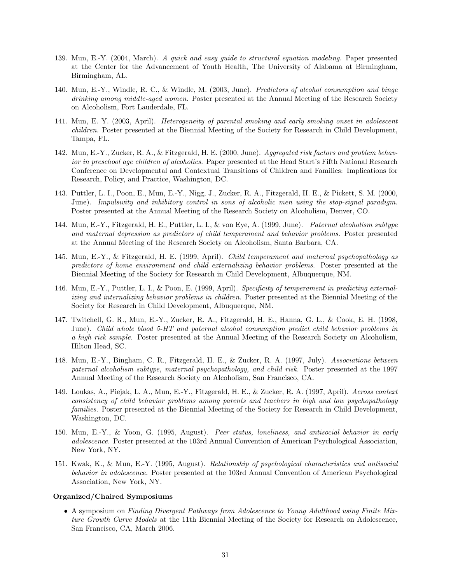- 139. Mun, E.-Y. (2004, March). A quick and easy guide to structural equation modeling. Paper presented at the Center for the Advancement of Youth Health, The University of Alabama at Birmingham, Birmingham, AL.
- 140. Mun, E.-Y., Windle, R. C., & Windle, M. (2003, June). Predictors of alcohol consumption and binge drinking among middle-aged women. Poster presented at the Annual Meeting of the Research Society on Alcoholism, Fort Lauderdale, FL.
- 141. Mun, E. Y. (2003, April). Heterogeneity of parental smoking and early smoking onset in adolescent children. Poster presented at the Biennial Meeting of the Society for Research in Child Development, Tampa, FL.
- 142. Mun, E.-Y., Zucker, R. A., & Fitzgerald, H. E. (2000, June). Aggregated risk factors and problem behavior in preschool age children of alcoholics. Paper presented at the Head Start's Fifth National Research Conference on Developmental and Contextual Transitions of Children and Families: Implications for Research, Policy, and Practice, Washington, DC.
- 143. Puttler, L. I., Poon, E., Mun, E.-Y., Nigg, J., Zucker, R. A., Fitzgerald, H. E., & Pickett, S. M. (2000, June). Impulsivity and inhibitory control in sons of alcoholic men using the stop-signal paradigm. Poster presented at the Annual Meeting of the Research Society on Alcoholism, Denver, CO.
- 144. Mun, E.-Y., Fitzgerald, H. E., Puttler, L. I., & von Eye, A. (1999, June). Paternal alcoholism subtype and maternal depression as predictors of child temperament and behavior problems. Poster presented at the Annual Meeting of the Research Society on Alcoholism, Santa Barbara, CA.
- 145. Mun, E.-Y., & Fitzgerald, H. E. (1999, April). Child temperament and maternal psychopathology as predictors of home environment and child externalizing behavior problems. Poster presented at the Biennial Meeting of the Society for Research in Child Development, Albuquerque, NM.
- 146. Mun, E.-Y., Puttler, L. I., & Poon, E. (1999, April). Specificity of temperament in predicting externalizing and internalizing behavior problems in children. Poster presented at the Biennial Meeting of the Society for Research in Child Development, Albuquerque, NM.
- 147. Twitchell, G. R., Mun, E.-Y., Zucker, R. A., Fitzgerald, H. E., Hanna, G. L., & Cook, E. H. (1998, June). Child whole blood 5-HT and paternal alcohol consumption predict child behavior problems in a high risk sample. Poster presented at the Annual Meeting of the Research Society on Alcoholism, Hilton Head, SC.
- 148. Mun, E.-Y., Bingham, C. R., Fitzgerald, H. E., & Zucker, R. A. (1997, July). Associations between paternal alcoholism subtype, maternal psychopathology, and child risk. Poster presented at the 1997 Annual Meeting of the Research Society on Alcoholism, San Francisco, CA.
- 149. Loukas, A., Piejak, L. A., Mun, E.-Y., Fitzgerald, H. E., & Zucker, R. A. (1997, April). Across context consistency of child behavior problems among parents and teachers in high and low psychopathology families. Poster presented at the Biennial Meeting of the Society for Research in Child Development, Washington, DC.
- 150. Mun, E.-Y., & Yoon, G. (1995, August). Peer status, loneliness, and antisocial behavior in early adolescence. Poster presented at the 103rd Annual Convention of American Psychological Association, New York, NY.
- 151. Kwak, K., & Mun, E.-Y. (1995, August). Relationship of psychological characteristics and antisocial behavior in adolescence. Poster presented at the 103rd Annual Convention of American Psychological Association, New York, NY.

#### Organized/Chaired Symposiums

• A symposium on Finding Divergent Pathways from Adolescence to Young Adulthood using Finite Mixture Growth Curve Models at the 11th Biennial Meeting of the Society for Research on Adolescence, San Francisco, CA, March 2006.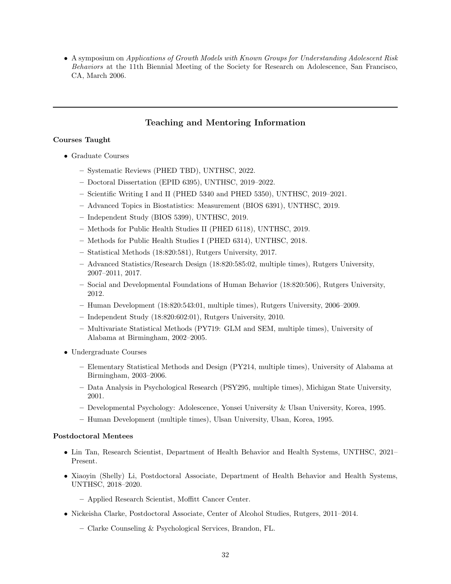• A symposium on Applications of Growth Models with Known Groups for Understanding Adolescent Risk Behaviors at the 11th Biennial Meeting of the Society for Research on Adolescence, San Francisco, CA, March 2006.

## Teaching and Mentoring Information

### Courses Taught

- Graduate Courses
	- Systematic Reviews (PHED TBD), UNTHSC, 2022.
	- Doctoral Dissertation (EPID 6395), UNTHSC, 2019–2022.
	- Scientific Writing I and II (PHED 5340 and PHED 5350), UNTHSC, 2019–2021.
	- Advanced Topics in Biostatistics: Measurement (BIOS 6391), UNTHSC, 2019.
	- Independent Study (BIOS 5399), UNTHSC, 2019.
	- Methods for Public Health Studies II (PHED 6118), UNTHSC, 2019.
	- Methods for Public Health Studies I (PHED 6314), UNTHSC, 2018.
	- Statistical Methods (18:820:581), Rutgers University, 2017.
	- Advanced Statistics/Research Design (18:820:585:02, multiple times), Rutgers University, 2007–2011, 2017.
	- Social and Developmental Foundations of Human Behavior (18:820:506), Rutgers University, 2012.
	- Human Development (18:820:543:01, multiple times), Rutgers University, 2006–2009.
	- Independent Study (18:820:602:01), Rutgers University, 2010.
	- Multivariate Statistical Methods (PY719: GLM and SEM, multiple times), University of Alabama at Birmingham, 2002–2005.
- Undergraduate Courses
	- Elementary Statistical Methods and Design (PY214, multiple times), University of Alabama at Birmingham, 2003–2006.
	- Data Analysis in Psychological Research (PSY295, multiple times), Michigan State University, 2001.
	- Developmental Psychology: Adolescence, Yonsei University & Ulsan University, Korea, 1995.
	- Human Development (multiple times), Ulsan University, Ulsan, Korea, 1995.

#### Postdoctoral Mentees

- Lin Tan, Research Scientist, Department of Health Behavior and Health Systems, UNTHSC, 2021– Present.
- Xiaoyin (Shelly) Li, Postdoctoral Associate, Department of Health Behavior and Health Systems, UNTHSC, 2018–2020.
	- Applied Research Scientist, Moffitt Cancer Center.
- Nickeisha Clarke, Postdoctoral Associate, Center of Alcohol Studies, Rutgers, 2011–2014.
	- Clarke Counseling & Psychological Services, Brandon, FL.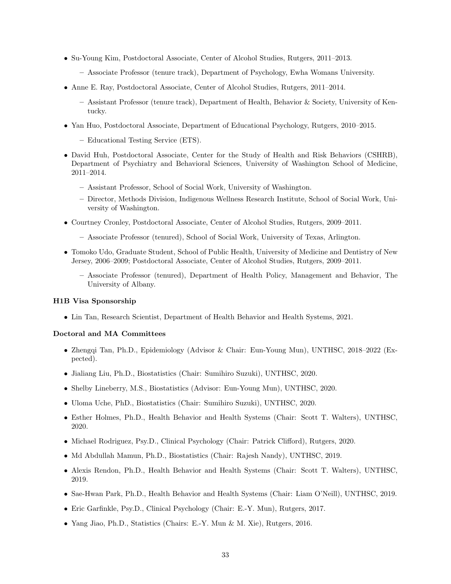- Su-Young Kim, Postdoctoral Associate, Center of Alcohol Studies, Rutgers, 2011–2013.
	- Associate Professor (tenure track), Department of Psychology, Ewha Womans University.
- Anne E. Ray, Postdoctoral Associate, Center of Alcohol Studies, Rutgers, 2011–2014.
	- Assistant Professor (tenure track), Department of Health, Behavior & Society, University of Kentucky.
- Yan Huo, Postdoctoral Associate, Department of Educational Psychology, Rutgers, 2010–2015.
	- Educational Testing Service (ETS).
- David Huh, Postdoctoral Associate, Center for the Study of Health and Risk Behaviors (CSHRB), Department of Psychiatry and Behavioral Sciences, University of Washington School of Medicine, 2011–2014.
	- Assistant Professor, School of Social Work, University of Washington.
	- Director, Methods Division, Indigenous Wellness Research Institute, School of Social Work, University of Washington.
- Courtney Cronley, Postdoctoral Associate, Center of Alcohol Studies, Rutgers, 2009–2011.
	- Associate Professor (tenured), School of Social Work, University of Texas, Arlington.
- Tomoko Udo, Graduate Student, School of Public Health, University of Medicine and Dentistry of New Jersey, 2006–2009; Postdoctoral Associate, Center of Alcohol Studies, Rutgers, 2009–2011.
	- Associate Professor (tenured), Department of Health Policy, Management and Behavior, The University of Albany.

#### H1B Visa Sponsorship

• Lin Tan, Research Scientist, Department of Health Behavior and Health Systems, 2021.

## Doctoral and MA Committees

- Zhengqi Tan, Ph.D., Epidemiology (Advisor & Chair: Eun-Young Mun), UNTHSC, 2018–2022 (Expected).
- Jialiang Liu, Ph.D., Biostatistics (Chair: Sumihiro Suzuki), UNTHSC, 2020.
- Shelby Lineberry, M.S., Biostatistics (Advisor: Eun-Young Mun), UNTHSC, 2020.
- Uloma Uche, PhD., Biostatistics (Chair: Sumihiro Suzuki), UNTHSC, 2020.
- Esther Holmes, Ph.D., Health Behavior and Health Systems (Chair: Scott T. Walters), UNTHSC, 2020.
- Michael Rodriguez, Psy.D., Clinical Psychology (Chair: Patrick Clifford), Rutgers, 2020.
- Md Abdullah Mamun, Ph.D., Biostatistics (Chair: Rajesh Nandy), UNTHSC, 2019.
- Alexis Rendon, Ph.D., Health Behavior and Health Systems (Chair: Scott T. Walters), UNTHSC, 2019.
- Sae-Hwan Park, Ph.D., Health Behavior and Health Systems (Chair: Liam O'Neill), UNTHSC, 2019.
- Eric Garfinkle, Psy.D., Clinical Psychology (Chair: E.-Y. Mun), Rutgers, 2017.
- Yang Jiao, Ph.D., Statistics (Chairs: E.-Y. Mun & M. Xie), Rutgers, 2016.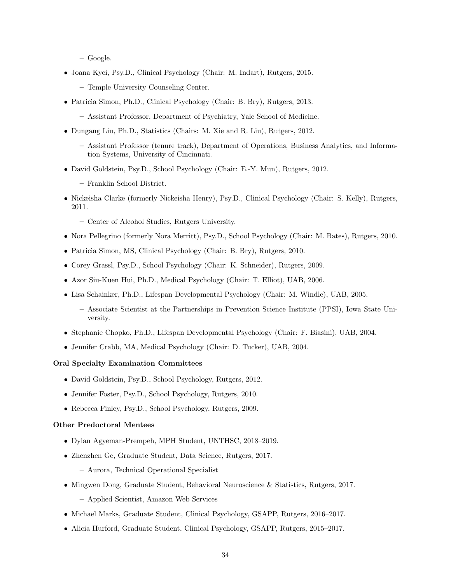– Google.

- Joana Kyei, Psy.D., Clinical Psychology (Chair: M. Indart), Rutgers, 2015.
	- Temple University Counseling Center.
- Patricia Simon, Ph.D., Clinical Psychology (Chair: B. Bry), Rutgers, 2013.
	- Assistant Professor, Department of Psychiatry, Yale School of Medicine.
- Dungang Liu, Ph.D., Statistics (Chairs: M. Xie and R. Liu), Rutgers, 2012.
	- Assistant Professor (tenure track), Department of Operations, Business Analytics, and Information Systems, University of Cincinnati.
- David Goldstein, Psy.D., School Psychology (Chair: E.-Y. Mun), Rutgers, 2012.
	- Franklin School District.
- Nickeisha Clarke (formerly Nickeisha Henry), Psy.D., Clinical Psychology (Chair: S. Kelly), Rutgers, 2011.
	- Center of Alcohol Studies, Rutgers University.
- Nora Pellegrino (formerly Nora Merritt), Psy.D., School Psychology (Chair: M. Bates), Rutgers, 2010.
- Patricia Simon, MS, Clinical Psychology (Chair: B. Bry), Rutgers, 2010.
- Corey Grassl, Psy.D., School Psychology (Chair: K. Schneider), Rutgers, 2009.
- Azor Siu-Kuen Hui, Ph.D., Medical Psychology (Chair: T. Elliot), UAB, 2006.
- Lisa Schainker, Ph.D., Lifespan Developmental Psychology (Chair: M. Windle), UAB, 2005.
	- Associate Scientist at the Partnerships in Prevention Science Institute (PPSI), Iowa State University.
- Stephanie Chopko, Ph.D., Lifespan Developmental Psychology (Chair: F. Biasini), UAB, 2004.
- Jennifer Crabb, MA, Medical Psychology (Chair: D. Tucker), UAB, 2004.

#### Oral Specialty Examination Committees

- David Goldstein, Psy.D., School Psychology, Rutgers, 2012.
- Jennifer Foster, Psy.D., School Psychology, Rutgers, 2010.
- Rebecca Finley, Psy.D., School Psychology, Rutgers, 2009.

## Other Predoctoral Mentees

- Dylan Agyeman-Prempeh, MPH Student, UNTHSC, 2018–2019.
- Zhenzhen Ge, Graduate Student, Data Science, Rutgers, 2017.
	- Aurora, Technical Operational Specialist
- Mingwen Dong, Graduate Student, Behavioral Neuroscience & Statistics, Rutgers, 2017. – Applied Scientist, Amazon Web Services
- Michael Marks, Graduate Student, Clinical Psychology, GSAPP, Rutgers, 2016–2017.
- Alicia Hurford, Graduate Student, Clinical Psychology, GSAPP, Rutgers, 2015–2017.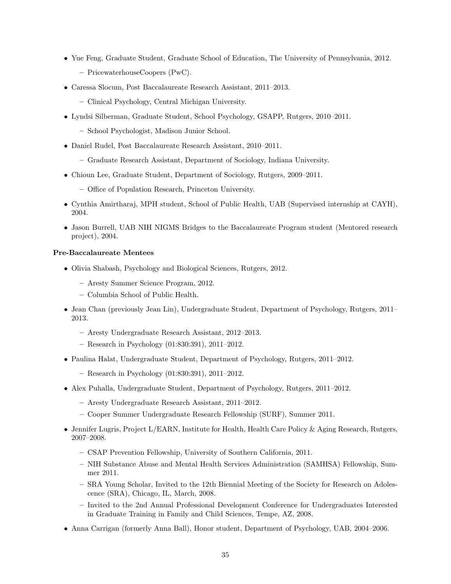- Yue Feng, Graduate Student, Graduate School of Education, The University of Pennsylvania, 2012. – PricewaterhouseCoopers (PwC).
- Caressa Slocum, Post Baccalaureate Research Assistant, 2011–2013.
	- Clinical Psychology, Central Michigan University.
- Lyndsi Silberman, Graduate Student, School Psychology, GSAPP, Rutgers, 2010–2011.
	- School Psychologist, Madison Junior School.
- Daniel Rudel, Post Baccalaureate Research Assistant, 2010–2011.
	- Graduate Research Assistant, Department of Sociology, Indiana University.
- Chioun Lee, Graduate Student, Department of Sociology, Rutgers, 2009–2011.
	- Office of Population Research, Princeton University.
- Cynthia Amirtharaj, MPH student, School of Public Health, UAB (Supervised internship at CAYH), 2004.
- Jason Burrell, UAB NIH NIGMS Bridges to the Baccalaureate Program student (Mentored research project), 2004.

#### Pre-Baccalaureate Mentees

- Olivia Shabash, Psychology and Biological Sciences, Rutgers, 2012.
	- Aresty Summer Science Program, 2012.
	- Columbia School of Public Health.
- Jean Chan (previously Jean Lin), Undergraduate Student, Department of Psychology, Rutgers, 2011– 2013.
	- Aresty Undergraduate Research Assistant, 2012–2013.
	- Research in Psychology (01:830:391), 2011–2012.
- Paulina Halat, Undergraduate Student, Department of Psychology, Rutgers, 2011–2012.
	- Research in Psychology (01:830:391), 2011–2012.
- Alex Puhalla, Undergraduate Student, Department of Psychology, Rutgers, 2011–2012.
	- Aresty Undergraduate Research Assistant, 2011–2012.
	- Cooper Summer Undergraduate Research Fellowship (SURF), Summer 2011.
- Jennifer Lugris, Project L/EARN, Institute for Health, Health Care Policy & Aging Research, Rutgers, 2007–2008.
	- CSAP Prevention Fellowship, University of Southern California, 2011.
	- NIH Substance Abuse and Mental Health Services Administration (SAMHSA) Fellowship, Summer 2011.
	- SRA Young Scholar, Invited to the 12th Biennial Meeting of the Society for Research on Adolescence (SRA), Chicago, IL, March, 2008.
	- Invited to the 2nd Annual Professional Development Conference for Undergraduates Interested in Graduate Training in Family and Child Sciences, Tempe, AZ, 2008.
- Anna Carrigan (formerly Anna Ball), Honor student, Department of Psychology, UAB, 2004–2006.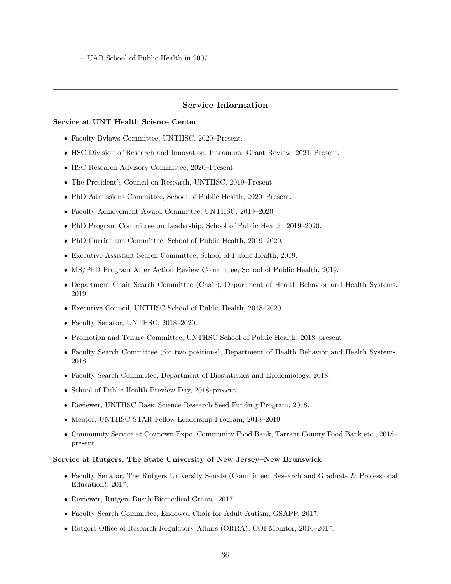– UAB School of Public Health in 2007.

## Service Information

#### Service at UNT Health Science Center

- Faculty Bylaws Committee, UNTHSC, 2020–Present.
- HSC Division of Research and Innovation, Intramural Grant Review, 2021–Present.
- HSC Research Advisory Committee, 2020–Present.
- The President's Council on Research, UNTHSC, 2019–Present.
- PhD Admissions Committee, School of Public Health, 2020–Present.
- Faculty Achievement Award Committee, UNTHSC, 2019–2020.
- PhD Program Committee on Leadership, School of Public Health, 2019–2020.
- PhD Curriculum Committee, School of Public Health, 2019–2020.
- Executive Assistant Search Committee, School of Public Health, 2019.
- MS/PhD Program After Action Review Committee, School of Public Health, 2019.
- Department Chair Search Committee (Chair), Department of Health Behavior and Health Systems, 2019.
- Executive Council, UNTHSC School of Public Health, 2018–2020.
- Faculty Senator, UNTHSC, 2018–2020.
- Promotion and Tenure Committee, UNTHSC School of Public Health, 2018–present.
- Faculty Search Committee (for two positions), Department of Health Behavior and Health Systems, 2018.
- Faculty Search Committee, Department of Biostatistics and Epidemiology, 2018.
- School of Public Health Preview Day, 2018–present.
- Reviewer, UNTHSC Basic Science Research Seed Funding Program, 2018.
- Mentor, UNTHSC STAR Fellow Leadership Program, 2018–2019.
- Community Service at Cowtown Expo, Community Food Bank, Tarrant County Food Bank,etc., 2018– present.

#### Service at Rutgers, The State University of New Jersey–New Brunswick

- Faculty Senator, The Rutgers University Senate (Committee: Research and Graduate & Professional Education), 2017.
- Reviewer, Rutgers Busch Biomedical Grants, 2017.
- Faculty Search Committee, Endowed Chair for Adult Autism, GSAPP, 2017.
- Rutgers Office of Research Regulatory Affairs (ORRA), COI Monitor, 2016–2017.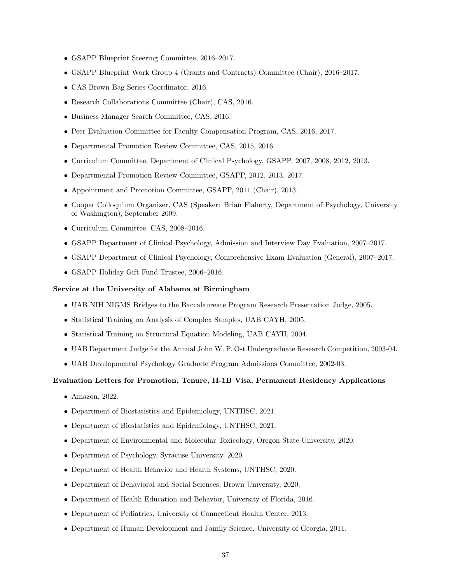- GSAPP Blueprint Steering Committee, 2016–2017.
- GSAPP Blueprint Work Group 4 (Grants and Contracts) Committee (Chair), 2016–2017.
- CAS Brown Bag Series Coordinator, 2016.
- Research Collaborations Committee (Chair), CAS, 2016.
- Business Manager Search Committee, CAS, 2016.
- Peer Evaluation Committee for Faculty Compensation Program, CAS, 2016, 2017.
- Departmental Promotion Review Committee, CAS, 2015, 2016.
- Curriculum Committee, Department of Clinical Psychology, GSAPP, 2007, 2008, 2012, 2013.
- Departmental Promotion Review Committee, GSAPP, 2012, 2013, 2017.
- Appointment and Promotion Committee, GSAPP, 2011 (Chair), 2013.
- Cooper Colloquium Organizer, CAS (Speaker: Brian Flaherty, Department of Psychology, University of Washington), September 2009.
- Curriculum Committee, CAS, 2008–2016.
- GSAPP Department of Clinical Psychology, Admission and Interview Day Evaluation, 2007–2017.
- GSAPP Department of Clinical Psychology, Comprehensive Exam Evaluation (General), 2007–2017.
- GSAPP Holiday Gift Fund Trustee, 2006–2016.

#### Service at the University of Alabama at Birmingham

- UAB NIH NIGMS Bridges to the Baccalaureate Program Research Presentation Judge, 2005.
- Statistical Training on Analysis of Complex Samples, UAB CAYH, 2005.
- Statistical Training on Structural Equation Modeling, UAB CAYH, 2004.
- UAB Department Judge for the Annual John W. P. Ost Undergraduate Research Competition, 2003-04.
- UAB Developmental Psychology Graduate Program Admissions Committee, 2002-03.

#### Evaluation Letters for Promotion, Tenure, H-1B Visa, Permanent Residency Applications

- Amazon, 2022.
- Department of Biostatistics and Epidemiology, UNTHSC, 2021.
- Department of Biostatistics and Epidemiology, UNTHSC, 2021.
- Department of Environmental and Molecular Toxicology, Oregon State University, 2020.
- Department of Psychology, Syracuse University, 2020.
- Department of Health Behavior and Health Systems, UNTHSC, 2020.
- Department of Behavioral and Social Sciences, Brown University, 2020.
- Department of Health Education and Behavior, University of Florida, 2016.
- Department of Pediatrics, University of Connecticut Health Center, 2013.
- Department of Human Development and Family Science, University of Georgia, 2011.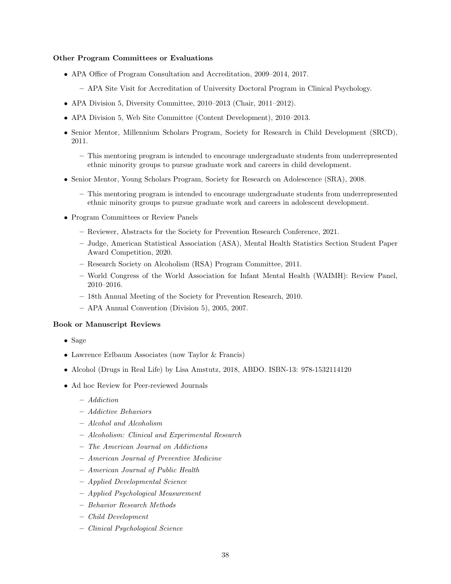#### Other Program Committees or Evaluations

- APA Office of Program Consultation and Accreditation, 2009–2014, 2017.
	- APA Site Visit for Accreditation of University Doctoral Program in Clinical Psychology.
- APA Division 5, Diversity Committee, 2010–2013 (Chair, 2011–2012).
- APA Division 5, Web Site Committee (Content Development), 2010–2013.
- Senior Mentor, Millennium Scholars Program, Society for Research in Child Development (SRCD), 2011.
	- This mentoring program is intended to encourage undergraduate students from underrepresented ethnic minority groups to pursue graduate work and careers in child development.
- Senior Mentor, Young Scholars Program, Society for Research on Adolescence (SRA), 2008.
	- This mentoring program is intended to encourage undergraduate students from underrepresented ethnic minority groups to pursue graduate work and careers in adolescent development.
- Program Committees or Review Panels
	- Reviewer, Abstracts for the Society for Prevention Research Conference, 2021.
	- Judge, American Statistical Association (ASA), Mental Health Statistics Section Student Paper Award Competition, 2020.
	- Research Society on Alcoholism (RSA) Program Committee, 2011.
	- World Congress of the World Association for Infant Mental Health (WAIMH): Review Panel, 2010–2016.
	- 18th Annual Meeting of the Society for Prevention Research, 2010.
	- APA Annual Convention (Division 5), 2005, 2007.

#### Book or Manuscript Reviews

- Sage
- Lawrence Erlbaum Associates (now Taylor & Francis)
- Alcohol (Drugs in Real Life) by Lisa Amstutz, 2018, ABDO. ISBN-13: 978-1532114120
- Ad hoc Review for Peer-reviewed Journals
	- Addiction
	- Addictive Behaviors
	- Alcohol and Alcoholism
	- Alcoholism: Clinical and Experimental Research
	- The American Journal on Addictions
	- American Journal of Preventive Medicine
	- American Journal of Public Health
	- Applied Developmental Science
	- Applied Psychological Measurement
	- Behavior Research Methods
	- Child Development
	- Clinical Psychological Science